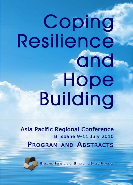# Coping Resilience and Hope **Building**

**Asia Pacific Regional Conference** Brisbane 9-11 July 2010 **PROGRAM AND ABSTRACTS** 

BRISBANE INSTITUTE OF STRENGTHS BASED PRACTICE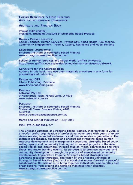COPING RESILIENCE & HOPE BUILDING **ASIA PACIFIC REGIONAL CONFERENCE** 

**ABSTRACTS AND PROGRAM BOOK** 

Venkat Pulla (Editor) President, Brisbane Institute of Strengths Based Practice

**BROADLY DEFINED SUBJECTS:** Social Sciences, Human Services, Psychology, Allied Health, Counseling, Community Engagement, Trauma, Coping, Resilience and Hope Building

**CONFERENCE ORGANISATION: Brisbane Institute of Strengths Based Practice** www.strengthsbasedpractice.com.au

School of Human Services and Social Work, Griffith University http://www.griffith.edu.au/health/school-human-services-social-work

COPYRIGHT: for the Abstracts Book Authors in this book may use their materials anywhere in any form for presenting and publishing

**DESIGN AND DTP:** Libero Publishing, Brisbane www.liberopublishing.com

PRINTERS: **Astrocall Pty Ltd** 9 Monsterrat Place, Forest Lake, Q 4078 www.astrocall.com.au

PUBLISHER: **Brisbane Institute of Strengths Based Practice** 5 Mandell Close, Coopers Plains, 4208 **Australia** www.strengthsbasedpractice.com.au

Month and Year of Publication: July 2010

ISBN 978-0-9802994-2-7

The Brisbane Institute of Strengths-based Practice, incorporated in 2006 is a not-for profit, organisation of professional volunteers with years of experience working in varied endeavours and human service organisations. The Institute propagates, supports and encourages strengths based human resource development and management consulting, strengths based counselling, group and community training activities and projects in the Asia pacific region and elsewhere, through studies, visits, conferences and workshops and major training events. Its purpose is to promote individual and community development through the practice of asset-based community development, Appreciative Enquiry, Strengths-based strategies and Strengths-focussed therapies. The vision of the Brisbane Institute of Strengths Based Practice (Inc) is of a world that moves forward in peaceful collaboration. Its mission is to bring together individuals, communities and organisations from around the world to maximise their potential. www.strengthsbasedpractice.com.au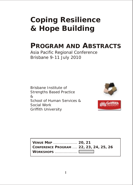## **Coping Resilience & Hope Building**

## **PROGRAM AND ABSTRACTS**

Asia Pacific Regional Conference Brisbane 9-11 July 2010

Brisbane Institute of Strengths Based Practice & School of Human Services & Social Work Griffith University



| <b>VENUE MAP  20, 21</b>               |  |
|----------------------------------------|--|
| CONFERENCE PROGRAM  22, 23, 24, 25, 26 |  |
|                                        |  |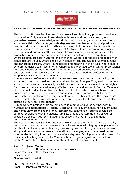

**THE SCHOOL OF HUMAN SERVICES AND SOCIAL WORK GRIFFITH UNIVERSITY**

The School of Human Services and Social Work interdisciplinary programs provide a combination of high academic standards with real world practice ensuring our graduates possess the knowledge and skills to work in a range of human service or social work fields. Our undergraduate degrees are complemented by postgraduate programs designed to assist in further developing skills and expertise in specific areas. Human services and social work are one of Australia's fastest growing and biggest industries, and one which offers a range of rewarding and exciting possibilities for graduates. We invite the community to take up a challenge to help create a world where children are safe, nurtured and cherished, where older people and people with disabilities are valued, where people with disability can achieve gainful employment and rewarding careers, where young people find meaning in their lives, where people who are homeless can have a home, where people with addictions can get professional help and where communities work together. We see others who need help and understanding and recognise that there is an increased need for professionals to support and care for our community.

Human service professionals and social workers are concerned with improving the social, economic, personal and communal well being of people. They seek to promote social inclusion and achieve equity, social justice, interdependence and human rights for those people who are adversely affected by social and economic factors. Members of the School work collaboratively with various local and state organisations in an endeavour to not only provide advice and guidance when requested but also to participate and contribute in a very tangible way to further enhance the University's commitment to build links with members of not only our local communities but also extend our services internationally.

Human Service professionals are employed in a range of diverse settings within Australia and internationally. Federal, State and local governments, non government and community organisations, and, increasingly, commercial settings provide the context for working with individuals, families, groups and communities as well as providing opportunities for management, policy and program development, implementation and review.

The School of Human Services and Social Work appreciate the importance of quality learning and teaching and strives to provide its students with high quality placements which will facilitate optimum learning. We recognise that finding a balance between study and outside commitments is sometimes challenging and where possible we incorporate flexibility into the structure of our degrees. Earning an Australian Award for University Teaching, our popular Common Time program is just one example of Griffith's commitment to helping new students adapt to university life.

Assoc Prof Jayne Clapton Head of School of Human Services and Social Work Logan Campus Griffith University University Drive Meadowbrook Q. 4131

Ph: (07) 3382 1233; Fax: (07) 3382 1210 Email: *J.Clapton@griffith.edu.au*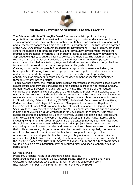

#### **BRISBANE INSTITUTE OF STRENGTHS BASED PRACTICE**

The Brisbane Institute of Strengths Based Practice is a not-for profit, voluntary organisation comprised of professional people working in varied endeavours and human service organisations. Incorporated in Brisbane in 2006, it is an organisation of good will and all members donate their time and skills to its programmes. The Institute is a partner of the AusAID Australian Youth Ambassadors for Development (AYAD) program, amongst others. Its purpose is to promote individual and community development through the practice and promotion of various skills including, asset-based community development, appreciative enquiry, strengths-based strategies and therapies. The vision of the Brisbane Institute of Strengths Based Practice is of a world that moves forward in peaceful collaboration. Its mission is to bring together individuals, communities and organisations from around the world to maximise their potential. Its goals include:

*Creating opportunities for people from diverse backgrounds to learn about strengths based practice; Creating forums where people can come together to share experiences and stories, network, be inspired, challenged, and supported and to providing opportunities for members to contribute to the development of specific communities through strengths based practice.*

To achieve these aims, the Institute holds regular conferences on strengths based practice related issues and provides consulting for organisations in areas of Appreciative Enquiry, Human Resource Development and futures planning. The members of the Institute contribute their personal expertise and use their extensive professional networks to carry out particular projects. It is through such processes that the Institute built its collaborative relationships with various international teaching institutes such as the National Institute for Small Industry Extension Training (NISIET), Hyderabad, Department of Social Work, Kadambari Memorial College of Science and Management, Kathmandu, Nepal and Sri Lanka School of Social Work-National Institute of Social Development, Department of Social Welfare, Government of Sri Lanka, and NGOs in Vietnam, through our participation in nominating Australian Youth Ambassador for Development in Vietnam. Our most recent collaborations initiated activities in Malaysia, Croatia and Bosnia and Herzegovina and New Zealand. Future involvement is being discussed in South Africa, Korea, China including Hong Kong and Taiwan. Projects are undertaken jointly by pooling of resources through international volunteer collaborations. Most projects have more than one supporting partner in most countries and members and associates are asked to contribute their skills as necessary. Projects undertaken by the Institute are regularly discussed and monitored by project committees of the Institute throughout the project's life. An associate membership of the Institute is a good beginning for those who reside in Australia. For global citizens by a friendly donation, an opportunity to become friends of the Institute is open from July 2010. Shortly half yearly e-bulletins of future programmes would be available by subscription offering reduced rates and special opportunities for participation.

#### Dr. Venkat Pulla

President, Brisbane Institute of Strengths based Practice. Registered address: 5 Mandell Close, Coopers Plains, Brisbane, Queensland, 4108 Incorporation number is IA 34493, & ABN Number is 911 46592057 *www.strengthsbasdedpractice.com.au*, Email: *dr.venkat.pulla@gmail.com*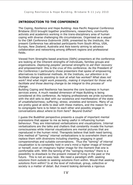#### **INTRODUCTION TO THE CONFERENCE**

The Coping, Resilience and Hope Building- Asia Pacific Regional Conference Brisbane 2010 brought together practitioners, researchers, community activists and academics working in the trans-disciplinary area of human coping with diverse challenging life circumstances. Organised as a sequel to the C&R Conference Dubrovnik 2009, presented by the Institute, the present Conference has attracted participants from South Africa, USA, Europe, New Zealand, Australia and Asia keenly aiming to advance collaboration and networking among different regions and professional fields.

Viewed from Strengths based practices (SbPs) presenters at the conference are looking at the inherent strengths of individuals, families groups and organizations. Deploying peoples' personal strengths to aid their recovery and empowerment- this is the crux of this conference. As the President of the Conference I particularly chose presenters that spoke of empowering alternatives to traditional methods. At the Institute, our attention is to facilitate change by assisting to look at what has worked? What does not work? And what might work presently, making it important for those who facilitate and those desiring change to be integral to this process of change.

Building Coping and Resilience has become the core business in human services arena. A much needed dimension of Hope Building is being considered at this conference. As helping professionals we pride ourselves with the skill sets to deal with our existence and manifestation of the state of unsatisfactoriness; suffering; stress; anxieties and tensions. Many of us are pretty good at skills to deal with these matters, and the reason for us to congregate here is to listen to each other and possibly engage in conversations about where to from here? Beyond Dukha?

I quess the Buddhist perspective presents a couple of important mental expressions that appear to me as being useful in influencing human behaviour. They are internalized verbalizations and visualizations. Internal verbalizations are the talks and chatters that constantly invade the human consciousness while internal visualizations are mental pictures that are reproduced in the human mind. Therapists believe that both need taming. One method of "taming" internal verbalizations is to overwhelm them and replace them with diversions including chanting, engaging in good companionships and suitable conversations. Thus the "taming" of internal visualization is to constantly hold in one's mind a higher image of himself or herself, even an imaginary higher image for the moment that one is comfortable with. With the taming of the "swinging monkey" there is a possibility to drawback to the present instead of living in the past or the future. This is not an easy task. We need a paradigm shift: seeking solutions from outside to seeking solutions from within. Would that seeking solutions from within? Is at the level of individual, group, collective or society is a matter of detail. But inward looking demands a rigorous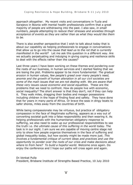approach altogether. My recent visits and conversations in Tuzla and Sarajevo in Bosnia with mental health professionals confirm that a great majority of people are withdrawing into the past. I also saw, in small numbers, people attempting to reduce their stresses and anxieties through acceptance of events as they are rather than as what they would like them to be.

There is also another perspective that I wish to talk about today that is about our capability as helping professionals to engage in conversations that allow us to go into the cause that lead us to the rot that is currently manifested in the world? Let me ask this question in a different way. Are we actually perpetuating and indulging in giving coping and resilience skills to deal with the effects rather than the causes?

Last three years I have been working on these themes and pondering over the roots of our business, in human services and I started feeling that we are losing the plot. Problems appear to be more fundamental: The gradual erosion in human values, few people's greed over many people's need, anomie and the growth of human alienation in all our civil societies are some of the main issues that we are not dealing with. We are aware that these very issues cause economic and social equalities. These are the problems that we need to confront. How do people live with economic, social inequality? The short answer is that they don't, not if they can help it. They walk miles, dragging their bodies and meager possessions including children in the hope of finding food and safety. They have done that for years in many parts of Africa. Or brave the seas in dingy boats to safer shores, miles away from the countries of birth.

While being compassionate may be virtuous, but practice of obligatory compassion in the face of illegitimate suffering, appears as a way out of converting societal guilt into a false responsibility and then wearing it. As helping professionals with the humanitarian obligatory response to suffering, we also need to wake up our professional responsibilities to see the truth i.e. the ultimate cause of this suffering in the world today. The task is in our sight. I am sure we are capable of moving centre stage not only to show how people organize themselves in the face of suffering and global inequality today, but how society might be made more just. This involves a fundamental critique of current ideas and practices and use the opportunity to ponder over the roots of our crisis and make decisions about where to from here? To build a hopeful world. Welcome once again, Do enjoy the conference and I hope our paths will cross again and again.

Dr.Venkat Pulla President, Brisbane Institute of Strengths Based Practice, 10 July 2010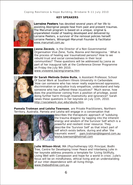#### **KEY SPEAKERS**



**Lorraine Peeters** has devoted several years of her life to assisting Aboriginal people heal from past and present traumas. The *Marumali program* is based on a unique, original & unparalleled model of healing developed and delivered by Lorraine Peeters, a survivor of the removal policies herself. Lorraine Peeters, Winangali-Marumali Founder & Facilitator *www.marumali.com.au*



**Jasna Zecevic**, is the Director of a Non Governmental Organisation Vive Žene, Tuzla, Bosnia and Herzegovina. ' What is the process of healing war traumatized persons? How to we rebuild trust and social connectedness in their local communities?' These questions will be addressed by Jasna as part of her inaugural talk at the Conference Dinner Programme on Friday the July 9th 2010. *www.vivezene.ba/eng/onama.htm*



**Dr Sarah Melinda Dobie Buila**, is Assistant Professor, School Of Social Work at Southern Illinois University in Carbondale. 'How can someone who has never really experienced oppression, discrimination or prejudice truly empathize, understand and help someone who has suffered these injustices?' 'Much worse, how does the practitioner coming from a position of privilege, avoid doing further harm through insensitivity and ignorance?' Sarah raises these questions in her keynote on July 11th, 2010. *http://socialwork.siuc.edu/sbuila.htm*

**Pamela Trotman and Leisha Townson**, are Private Practitioners, Northern Territory, Australia. Pamela and Leisha will engage in a conversation that



describes the therapeutic approach of 'subduing the trauma dragons' by tapping into the inherent energy and wisdom of the Survivor Self which is a powerful and resilient inner resource. They describe the 'Survivor Self' as that intact part of self which exists before, during and after 'the traumatic event'. *pam.trotman@bigpond.com.au leisha.townson@hotmail.com*



**Julie Wilson-Hirst**, MA (Psychotherapy UQ) Principal, Bodhi Tree, Centre for Developing Inner Peace and Interbeing Julie in her keynote address presents a template for 'Living Skillfully, Living Well with Compassion and hope for a world in crisis'. Julie's focus will be on mindfulness, ethical living and an understanding of our inter-dependence with all living things. *www.thebodhitree.com.au*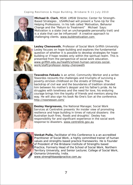

**Michael D. Clark**, MSW. LMSW Director, Center for Strength-Based Strategies , USAMichael will present a Tune-Up for the Helping Professions. In his talk called 'Motivation, Behavior Change and the "Return to Treatment" Michael Says: Motivation is a state (not an unchangeable personality trait) and is a state that can be influenced! A creative approach to challenging clients. *www.buildmotivation.com* 



**Lesley Chenoweth**, Professor of Social Work Griffith University Lesley focuses on hope-building and explores the fundamental question of whether it is possible to develop strategies for hopebuilding or if hope resides only within the spiritual realm. This is presented from the perspective of social work education. *www.griffith.edu.au/health/school-human-services-socialwork/staff/professor-lesley-chenoweth*



**Tewodros Fekadu** is an artist, Community Worker and a writer. Tewordos recounts the challenges and triumphs of surviving a poverty-stricken childhood on the streets of Ethiopia. The backdrop of civil war and the boundaries of tradition stranded him between his mother's despair and his father's pride. As he struggles with loneliness and the need for love, his enduring courage brings him the loyalty of friends and mentors along the way. He will also sign his book No One's Son at the conference. *http://noonesson.com/*



**Desley Hargreaves,** the National Manager, Social Work Services at Centrelink presents 'An insider view of promoting resilience and hope building in times of natural disasters: the Australian bush fires, floods and droughts'. Desley has responsibility for and significant experience in the social work response to disasters. *www.centrelink.gov.au*



**Venkat Pulla,** Facilitator of this Conference is a an accredited Practitioner of Social Work, a highly committed trainer of human values and strengths based practice frameworks. He is Founder of President of the Brisbane Institute of Strengths based Practice, Formerly Head of the School of Social Work, Northern Territory University, and Senior Lecturer, College of Social Work, Osmania University, India.

*www.strengthbasedpractice.com.au*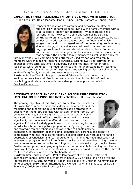**EXPLORING FAMILY RESILIENCE IN FAMILIES LIVING WITH ADDICTION**  *Dr. Bee Teng Lim, Helen Moriarty, Maria Stubbe, Sarah Bradford & Sophie Tapper*



Impacts of addiction are complex and pervasive on affected families. How do families cope, living with a family member with a drug, alcohol or behaviour addictions? What characterises a resilient family? How can helping and counselling services contribute to enhance family resilience? An exploratory study, was conducted to address these questions, the findings of which suggest that addictions, regardless of the underlying problem being alcohol-, drug-, or behaviour-related, lead to widespread and ongoing problems for non-addicted family members. Common barriers were societal stigma and lack of access to helping services that deterred the affected family members as well as the addicted

family member. Four common coping strategies used by non-addicted family members were minimizing, making allowances, turning away and carrying on, all appear to short term solutions to adversity but did not imply or foster family resilience, were identified. The need for increasing the understanding of resilience among the families and the role of helping and counselling services as collaborators in identifying family strengths and resources are discussed.

**Biodata:** *Dr Bee Tee Lim is a post-doctoral fellow at Victoria University of Wellington, New Zealand. Bee is currently researching in the field of positive psychology and related areas of human strengths as opposed to deficits. Bee.Lim@vuw.ac.nz*

**PSYCHIATRIC PROFILING OF THE INDIAN GERIATRIC POPULATION: IMPLICATION FOR POSSIBLE INTERVENTIONS** - *Dr. Braj Bhushan*

The primary objective of this study was to explore the prevalence of psychiatric disorders among the elderly in India and to find the mediating and moderating role of different coping strategies in dealing with them. 390 subjects with an age ranging from 50-90 years ( $M = 64.85$ ,  $SD = 9.63$ ) participated in this study. Results indicated that the main effect of resilience and religiosity was significant, but the interaction effect did not turn out to be significant. Resilient elderly people used proactive coping technique in order to achieve anticipatory preparedness. By using preventive and strategic coping techniques t heywere able to handle anxiety,



depression, psychoticism, fear of aging, somatization, paranoia and cognitive competence whereas those using reflective coping technique were able to handle depression, psychoticism and fear of aging only. The findings have implication for intervention programme. Of all the factors, resilience and proactive coping strategy seems more important variables for mitigating the psychiatric/ psychological issues. Resilience and proactive coping may be construed amenable to training, and hence have significance for intervention. Besides, religiosity seemed to enhance the effect of resilience in dealing with the mental health issues.

**Biodata:** *Braj Bhushan is Asst. Prof of Psychology at the Indian Institute of Technology Kanpur. Braj has 5 chapters in books & 25 articles, and held a Visiting Professorship at Kyushu University, Japan. His books are: Bhushan, Communication in Perspective. 2010, Amani International, Kiel-Germany, and Statistics for Social Sciences.,2007,Prentice-Hall, brajb@iitk.ac.in*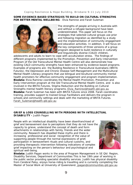#### **SOME EVIDENCE-BASED STRATEGIES TO BUILD ON CULTURAL STRENGTHS FOR BETTER MENTAL WELLBEING** - *Elvia Ramirez and Farah Suleman*



The strengths of people arriving in Australia with and without a refugee background have been underestimated. This paper will focus on the strategies that selected cultural groups use prior and following migration as identified by a study and the implementation of community engagement and education activities. In addition, it will focus on the key components of three versions of a group program designed to build resilience in culturally and linguistically diverse (CALD) children,

adolescents and adults to learn to cope with acculturation stress. The findings of different programs implemented by the Promotion, Prevention and Early Intervention Program of the Qld Transcultural Mental Health Centre will also demonstrate how existing CALD community strengths have been enhanced by evidence-based programs. Examples of programs are: the Building Resilience in Transcultural Australians (*BRiTA Futures*), the Depression and Chronic Disease Self-Management and the Multicultural Mental Health Literacy programs that use bilingual and bicultural community mental health promoters for effective community engagement and program implementation. **Biodata:** *Elvia Ramirez coordinates the Mental Health Promotion, Prevention and Early Intervention program at the Qld Transcultural Mental Health Centre, and is also involved in the BRiTA Futures, Stigma Reduction and the Building on Cultural Strengths mental health literacy programs. Elvia\_Ramirez@health.qld.gov.au* **Biodata:** *Farah Suleman has been with BRiTA Futures since 2008. Farah coordinates training, provides support to trained Group Facilitators and delivers the program in schools and community settings and deals with the marketing of BRiTA Futures. Farah\_Suleman@health.qld.gov.au*

#### **GRIEF & LOSS COUNSELLING WITH PERSONS WITH INTELLECTUAL DISABILITY -** *Judith Pagan*

People with an intellectual disability have been disenfranchised of grief and bereavement due to perceptions that they do not have the capacity to grieve, understand the concept of death and form attachments in relationships with family, friends and the wider community. Research has dispelled these myths and there is increasing professional and social recognition of the value of supporting people through the normal expressions of grief, participation in bereavement rituals and cultural customs, and providing therapeutic intervention following indications of complex grief impacting on the person's behaviour and psychological and spiritual well-being.



**Biodata:** *Judith Pagan works in the area of Program Management in SE Qld Region, Disability Services, Department of Communities This is her 19th year of working in the public sector providing specialist disability services. Judith has physical disability from Cerebral Palsy, enjoys horse-riding & travelling and is currently completing the Master of Social Work at University of Queensland. jpagan@communities.qld.gov.au*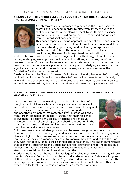#### **A MODEL FOR INTERPROFESSIONAL EDUCATION FOR HUMAN SERVICE PROFESSIONALS** - *Maria Julia-Billups*



An interprofessional approach to practice in the human service professions is needed in order to effectively intervene with the challenges that social problems present to us. Human resilience promotion and hope building are better understood and applied from an interdisciplinary perspective.

This paper reports a unique approach and set of experiences in the development and implementation of a multidimensional model for the understanding, practicing, and evaluating interprofessional practice and education. The aim is to examine problems precipitating the need for interprofessional education; discuss

limited interprofessioanal education arrangements; methodology of an alternative model; underlying assumptions, implications, limitations, and strengths of the proposed model. Conceptual framework, contents, references, and other educational resources and techniques are presented and analyzed. Underlying values about the significance of a human-in-the-environment ecological approach serve as the foundation for the model presented.

**Biodata:** *Maria Julia-Billups, Professor, Ohio State University has over 100 scholarly publications, including 3 books; more than 100 worldwide presentations. Actively involved in the academic, national, and international community, providing services in multiple organizations, boards, commissions and consortium. Julia.1@osu.edu*

#### **SILENT, SILENCED AND POWERLESS - RESILIENCE AND AGENCY IN RURAL GAY MEN -** *Dr Ed Green*

This paper presents "*empowering alternatives*" in a cohort of marginalized individuals who are usually considered to be silent, silenced and powerless: The gay men who have chosen to stay and live their lives in rural areas. It cites a largely unreported aptitude and adeptness by men to live contented lives in areas well away from urban cosmopolitan milieu. It argues that their resilience allows them to deploy a multiplicity of actions and reflective processes that, despite their apparent subordinate position in the rural communities, continues to give them, determination to live their lives as and where they choose.



But these men's personal strengths can also be seen through other conceptual frameworks. The notions of 'agency' and 'resistance', when applied to these gay men, also shed light on their empowerment in the face of omni-present difficulties. It is the realisation of their own capacity for action to improve their lives and to live them as they wish for agency that is their springboard to resistance. This paper demonstrates that seemingly subordinate individuals can express counteractions to the hegemonic ideology, in this case represented by the 'countrymindedness' which underlay the structure of social domination in rural communities.

**Biodata:** *Ed is Dean at the Australian College of Applied Psychology. In 2008, Ed took the Post-Doctoral Fellowship under the Australian Government's Endeavour Program. at Universitas Gadjah Mada (UGM) in Yogakarta (Indonesia) where he researched the lived experience rural men who have sex with men and the implications of their lived experience for local HIV education programs. ed.green@acap.edu.au*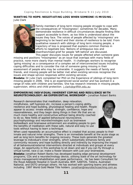**WANTING TO HOPE: NEGOTIATING LOSS WHEN SOMEONE IS MISSING -** *Julie Clark*



Family members of long-term missing people struggle to cope with the consequences of "missingness", sometimes for decades. Many demonstrate resilience in difficult circumstances despite finding little support accessible to them, as too little is understood about the issues they face. The voices of people affected by 'missingness' are beginning to be heard and their stories of resilience to be told. From qualitative research with siblings of long term missing people, a trajectory of loss is proposed that explains common themes in efforts to negotiate loss. Notions of ambiguous loss and disenfranchised grief for people 'left behind' are discussed.

This paper discusses issues for people affected when someone goes missing and positions "missingness" as an issue that overlaps with many fields of practice, none more clearly than mental health. It challenges workers to recognise 'going missing' as a consequence of a complex set of interconnected issues including coping difficulties and to consider the risk of someone going missing in their assessment of people who may be vulnerable. It suggests the needs of family and friends, and missing people will be better met when existing services recognise the issues and shape service responses within existing services.

**Biodata:** *Dr Julie Clark completed her PhD on the Experience of siblings of long-term missing people in 2006. She is an experienced social worker and has worked in a range of roles with children and families. She has research interests in missing people, supervision, ethics and child protection. j.clark@griffith.edu.au*

**EMPOWERING INDIVIDUAL INHERENT COPING AND RESILIENCE WITH NEUROTECHNOLOGY: AN EXPERIENTIAL WORKSHOP -** *Jonathan Robert Banks*

Research demonstrates that meditation, deep relaxation, mindfulness, self hypnosis etc, increase a person's coping ability, resilience and hope building, physiological healing and health. People appear to access: innate wisdom, strength, confidence, hope and reasonableness, and they begin doing things in their life that are so much more healthy and constructive without being directly coached to do so. New fields of applied behavioural neuroscience, psychophysiology and neurotechnologies such as brainwave biofeedback and brainwave entrainment are enabling people to gain the benefits of meditation with these safe, natural and easy to use tools without having to learn a technique.



When used repeatedly an accumulative effect is created that access people to their innate and natural inner strengths. There is an immediate benefit at the acute stage as well as long term benefits for ongoing recovery. These tools generate the greatest leverage to individual's inner strengths, which substantially enhances family and community recovery and hope building directly and indirectly by improving the impact of all behavioural/external interventions directed at individuals and groups at every stage. An opportunity in this workshop to sit down and see if you can fly through a virtual tunnel, race a car, make a flower blossom with just your brainwaves.

**Biodata:** *Jonathan Robert Banks has developed leading edge personal development programs, CDs and a neurotechnology device, utilising state of the art technology for stress management/rehabilitation and peak performance. He has been Consultant for the Royal Adelaide Hospital in South Australia, BHP, SANTOS, Telstra, Australian National, and DSTO amongst others. He has worked with sporting teams and athletes including 1997 World Gold Medal Title holders. jonathan@neurotechcoaching.com.au*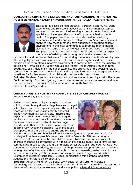#### **DEVELOPING COMMUNITY NETWORKS AND PARTNERSHIPS IN PROMOTING POSITIVE MENTAL HEALTH IN RURAL SOUTH AUSTRALIA** - *Abraham Francis*



This paper is based on field practice. It presents community work experiences and reflections about how rural communities can be engaged in the process of addressing issues of mental health and specially in challenging the myths of stigma attached to mental health. The paper describes the methods used in developing community net works and partnerships in rural South Australia and analyses how these methods have supported in creating positive environment in the local communities to promote mental health. It also outlines some of the challenges and issues faced in the field. The paper examines the strengths of rural communities by exploring the nature of existing safety net groups, and analyses the

partnerships and net works that were formed during the tenure of author's employment. This is highlighted with case examples to illustrate how strength based partnership models enhance creating supportive environment in communities, under the initiative of developing Mental Health Support Groups and Mental Health Action Groups in rural South Australia. Additionally the paper examines the strengths of the evolving role of communities in promoting mental health and suggests intervention strategies and raises questions for further research in social work practice with communities. **Boidata:** *Abraham Francis is a social activist and an academic employed with the James Cook University. Prior to migrating to Australia he worked as a social worker and as a Lecturer in India. This paper relates to his work in South Australia. abraham.francis@jcu.edu.au*

**CREATING RESILIENCE IN THE COMMUNITIES FOR CHILDREN POLICY -** *Antonia Hendrick, Susan Young*

Federal government policy strategies to address childhood and family disadvantage have encouraged self-reliance and self-responsibility over the past few years with a focus on making family and child friendly communities sustainable. There is the expectation that even the most disadvantaged families and communities will be able to overcome the circumstances of structural disadvantage, poverty and other deficits such as poor health and become fully functioning citizens. Such initiatives presuppose that there exist strengths and resilience



within communities and families without necessarily enacting practices within the strategies to enhance people's capacities. Action Research (AR) was an original component of the Communities for Children (C4C) Initiative and was designed to address childhood disadvantage with a focus on developing capacities in families and communities in select rural and urban regions across Australia. Although AR was not continued as a policy priority, we argue that its processes and practices can contribute to long term effectiveness, with sustainable outcomes, towards greater social justice, inclusion and overall greater standards of living for disadvantaged communities. Examples of Western Australian C4C sites, demonstrate this potential and offer suggestions for future policy direction.

**Biodata:** *Antonia Hendrick is a Social Work Lecturer for Curtin University of Technology and is also currently in the final stages of her PhD. Antonia's interest lies in the area of community development and social policy. a.hendrick@curtin.edu.au*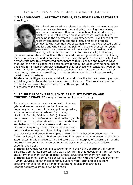**"IN THE SHADOWS ... ART THAT REVEALS, TRANSFORMS AND RESTORES"?** *Anne Riggs*



This visual presentation explores the relationship between creative arts practice and trauma, loss and grief, including the shadowy world of sexual abuse. It is an examination of what art and the artist, through collaborative creative processes, contributes to wellbeing in the aftermath of such experiences. I will speak of my recently completed PhD and the creative research projects I conducted with communities of women who had experienced trauma and loss and who carried the pain of these experiences for years afterwards. My presentation will consider how artmaking and working with an artist contributed to their capacity to live well,

better communicate and function within the world reducing isolation and debilitating feelings of loneliness and depression. In discussing the processes of creativity, I will demonstrate how this empowered participants to think, behave and relate in ways that until their participation had been elusive to them, including offering hope, belief and skills for a happier future: A remarkable shift for those who constantly lived on the brink of suicide. The presentation considers how artists delve into the shadows of what hurts, disturbs and stultifies, in order to offer something back that reveals, transforms and restores.

**Biodata:** *Anne Riggs is a visual artist with a studio practice for over twenty years and* exhibit regularly. Anne also works as a community artist. The two streams of her *artistic life are woven together in her recently completed PhD. ariggs@alphalink.com.au*

**BUILDING CHILDREN'S RESILIENCE: EARLY INTERVENTION AND STRENGTHS PRACTICE** - *Angela Cowan and Leeanne Toomey*

Traumatic experiences such as domestic violence, grief and loss or parental mental illness can negatively impact on children's cognitive, physical, social, emotional and academic functioning (Paolucci, Genuis, & Violato, 2001). Research recommends that professionals build resiliency skills in children to help them develop protective thinking and behaviours to manage stress and trauma (Berson & Baggerley 2009). This paper overviews best practice in helping children living in adverse



circumstances and presents examples of two strengths based interventions that foster resiliency in young children, engaged in a regional early intervention program. Experiences in this practice setting indicate that the interplay of children's strengths and resilience enhancing intervention strategies can empower young children experiencing stress.

**Biodata:** *Dr Angela Cowan is a caseworker with the NSW Department of Human Services, Community Services. She was a lecturer in child development for ten years and a former primary school teacher. angela.cowan@community.nsw.com.au* **Biodata:** *Leeanne Toomey (B Soc Sc) is a caseworker with the NSW Department of Human Services, experienced in family support work; grief and self esteem programs for children and a range of parenting educational strategies. leeanne.toomey@community.nsw.com.au*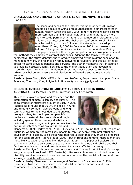**CHALLENGES AND STRENGTHS OF FAMILIES ON THE MOVE IN CHINA** - *Juan Chen*



The scope and speed of the internal migration of over 200 million people as a result of China's rapid urbanization is unprecedented in human history. Since the late 1990s, family migrations have become more common than individual migrations, and migrants are more likely to settle permanently rather than temporarily relocate in cities. This research focuses on the challenges confronting rural migrant families residing in urban China and the strategies they adopt to meet them. From July 2008 to December 2009, our research team followed 12 migrant families who lived on the outskirts of Beijing. This paper describes their migration paths, family arrangements, and

the methods they employ to confront challenges. Adopting the family strengths perspective, the study identifies the strategies employed by the migrant population to manage family life, the reliance on family networks for support, and the lack of equal access to state-provided benefits and services. The author maintains that, in addition to providing necessary family services to the migrant population and developing strength-based interventions, fundamental reforms must be enacted to abolish the urban-rural *hukou* and ensure equal distribution of benefits and access to social services.

**Biodata:** *Juan Chen, PhD, MSW is Assistant Professor, Department of Applied Social Sciences, The Hong Kong Polytechnic University, ssjuanc@polyu.edu.hk* 

**DROUGHT, INTELLECTUAL DISABILITY AND RESILIENCE IN RURAL AUSTRALIA -** *Dr Merrilyn Crichton, Professor Lesley Chenoweth*

This paper explores coping and resilience and the intersection of climate, disability and rurality. The social impact of Australia's drought is vast. In 2009 Raphael et al. found that 86.3% of people in rural and remote NSW had made profound and long term changes to their lives due to the ongoing drought. Many factors impact on people's resilience to natural disasters such as drought including gender. Unfortunately, disability is believed to have a negative impact on resilience to natural disasters such as drought (Fjord and



Manderson, 2009; Harley et al., 2008). Eley et al. (2009) found that in all regions of Australia, women are the most likely people to care for people with intellectual and developmental disability (also those who reported a belief that they must be prepared for long term drought Raphael et al., 2009), but in rural and remote Australia men are most likely to experience disability (Eley et al., 2009). This paper will explore the coping and resilience strategies of people who have an intellectual disability and their families who live in rural and remote areas of Australia affected by drought.

**Biodata:** *Merrilyn Crichton is lecturer in sociology at Charles Sturt University's Wagga Wagga campus in regional NSW (Australia). Her research interests include intellectual disability, service provision in rural and remote communities, social inclusion and rural sociology. mcrichton@csu.edu.au*

**Biodata:** *Lesley Chenoweth is the inaugural Professor of Social Work at Griffith University, Australia. Her research spans disability, human services, and rural communities. l.chenoweth@griiffith.edu.au*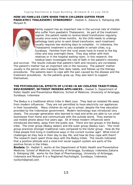**HOW DO FAMILIES COPE WHEN THEIR CHILDREN SUFFER FROM PAEDIATRIC THALASSEMIC SYNDROMES?** - *Hadiati S, Zakaria S, Rahajeng UW, Mulyani R.*



Family support has an important role in the survival rate of children who suffer from paediatric Thalassemic. As part of the treatment regime, the patient needs to receive blood transfusions regularly, usually once every three months. As the child needs to undergo pathology tests prior to each blood transfusion, each treatment usually requires two working days to complete. In Indonesia, the Thalassemic treatment is only available in certain cities, e.g. Surabaya. Families from the rural areas have to travel to the big cities and stay overnight there. They stay either with their relatives or in the hospital waiting room. In this research, the medical team investigate the role of faith in the patient's recovery

and survival. The results indicate that patient's faith and recovery are correlated. The patient's mother has an important role in the recovery. The patient' mother usually is the person who manages their daily needs, and follows up the therapy procedures. The patients learn to cope with the pain caused by the disease and the treatment procedures. As the patients grow up, they also learn to support themselves.

**THE PSYCHOLOGICAL EFFECTS OF LIVING IN AN ISOLATED TRADITIONAL ENVIRONMENT, WITHOUT MODERN APPLIANCES -** *Hadiati S,* Department of Public Health and Preventative Medicine, School of Medicine, University of Airlangga, Surabaya, Indonesia

The Baduy is a traditional ethnic tribe in West Java. They lead an isolated life away from modern influences. They are not permitted to have electricity nor appliances in their households. Many children do not go to school, despite the free education provided by the Indonesian government. Modern technology was introduced very slowly. The younger generation who learned to read and write are able to run small businesses from home and communicate with the outside world. They started to use mobile phone about five years ago. All of these modern influences were introduced discreetly, away from the public eye. There are two groups in the Baduy tribe: The inner group (Baduy dalam) and the outer group (Baduy luar). The Inner group practices stronger traditional rules compared to the Outer group. How do the tribal people find living in traditional ways in the current nuclear age? What kind of challenges do they face in their day to day life, and how do they cope with them? The research team spent three days with the Baduy tribes. The results indicated that a positive attitude and a close knit social support system are parts of the positive forces in the tribes.

**Biodata:** *Dr. Hadiati S, works at the Department of Public Health and Preventative Medicine, School of Medicine, University of Airlangga, Surabaya, Indonesia.Zakaria S, Rahajeng UW, works for the Dept of Pharmacology, University of Airlangga, Indonesia and Mulyani R is a Regitered Psychologist, Surabaya, Indonesia, nunksrh@gmail.com*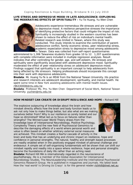#### **LIFE STRESS AND DEPRESSIVE MOOD IN LATE ADOLESCENCE: EXPLORING THE MODERATING EFFECTS OF SPIRITUALITY -** *Yu-Te Huang, Yu-Wen Chen*



Adolescents experience tremendous life stresses and are vulnerable to depressive mood. A resilience perspective stresses the importance of identifying protective factors that could mitigate the impact of risk. Spirituality is increasingly studied in the western countries has been shown to reduce the effect of risk on individual's mental health. Related research was limited in Taiwan, where this study was conducted. This study intends to examine the contribution of parentadolescence conflict, family economic stress, peer relationship stress, academic expectation stress to depressive mood among adolescents in Taiwan. Data was collected from self-report questionnaires

administered to 1,306 Taiwanese students from grades 10 to 12. 1,207 questionnaires with complete information were included in multiple regression analyses. Result indicates that after controlling for gender, age, and self-esteem, life stresses and spirituality were significantly associated with adolescent depressive mood. Spirituality moderated the effect of peer relationship stress on adolescent depressive mood. Findings suggest that spirituality is an important concept to help adolescents from being affected by life stressors. Helping professionals should incorporate this concept into their work with depressive adolescents.

**Biodata**: Mr. Huang Yu-Te is an MSW from the National Taiwan University. His practice and research interests are adolescent development, spirituality, and mental health. He spent some time in New York assisting adolescents with mental health issues. r96330008@ntu.edu.tw

**Biodata**: Professor Ms. Pro. Yu-Wen Chen Department of Social Work, National Taiwan University. yuchen@ntu.edu.tw

#### **HOW MINDSET CAN CREATE OR DISRUPT RESILIENCE AND HOPE -** *Richard Hill*

The explosive outpouring of knowledge about the brain and how mindset directly affects how the brain and body function leads us to ask not only how to make things better, but also what are we making ourselves better from? Why is our resilience so sorely tested and our hope so diminished? What led us to focus on failures rather than strengths? The Winner/Loser World Theory draws from the knowledge base of Interpersonal Neurobiology, Positive Psychology, Complexity Theory and the new field of Psychosocial Genomics to describe the damaging effects of a world where personal worth and value is often based on whether arbitrary external social measures are achieved. This mindset creates a fearful cascade of activity in the



brain and body that has an underlying and chronic impact on resilience, hope and confidence in personal strengths. The natural, healthy and strength based processes are readily enabled when in the positively engaged mindset of personal challenge and endeavour. A simple set of self-organising fundamentals will be shown that can shift our mindset rapidly and readily into a space where resilience, hope and personal strengths become the foundations of daily life rather than an aching need.

**Biodata:** *Richard Hill MA is internationally regarded in the neuroscience of psychotherapy. H e is a member of the Global Association for Interpersonal richhill@iinet.net.au How the 'real world' Is Driving Us Crazy! is for the general reader. Neurobiology Studies, The NeuroLeadership Institute and the International Psychosocial Genomics Research Group. He is published in magazines and journals. His latest book*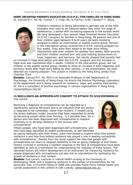**HOPE-ORIENTED PARENTS EDUCATION (H.O.P.E.) FOR FAMILIES IN HONG KONG** *Dr. Samuel M. Y. Ho, Ms. Yvonne T. C. Chak, Ms. Ip Yee Fun, & Ms. Claudia P. Y. Wong*



Children's resilience in facing adversities is perhaps one of the vital strengths that need to be fostered before they enter the stage of adolescence, a period with increasing exposure to the outside world. We have developed a four-session Hope Oriented Parents Education (H.O.P.E.) program for families in Hong Kong. 94 parents and one of their children aged between 8 to10 years old were randomly assigned to either an intervention or waitlist control group. Parents in the intervention group received the H.O.P.E. training program for four weeks. They were then asked to do hope story telling intervention with their children for another four weeks. Both parents and their children received pre- and post-training assessments on hope, happiness, and harmony. Our results showed that parents had

an increase in hope level before and after the H.O.P.E. program and this increase in hope level was maintained after 4 weeks. Children in the intervention group, but not children in the waitlist control group, tended to show an increase in both happiness and harmony levels after hope story telling by their parents. In the presentation, we shall describe our training program. This project is funded by the Hong Kong Jockey Club Charities Trust.

**Biodata:** *Samuel M.Y. Ho, PhD is an Associate Professor of the Department of Psychology, the University of Hong Kong. He directs the Positive Psychology Laboratory of the department and is doing research on resilience, hope, and positive intervention. Dr. Ho is a consultant of positive psychology in various organizations in Hong Kong. munyin@hkucc.hku.hk*

**IS RESILIENCE AN APPROPRIATE CONCEPT TO ATTACH TO SCHIZOPHRENIA?**  *Sue Liersch*

Receiving a diagnosis of schizophrenia can be regarded as a significantly adverse life event and is an indication that the person is regarded to be vulnerable, rather than resilient, if viewed using the stress-diathesis model, because they have responded to stress by becoming unwell rather than thriving. Is it possible then, for a person who has been diagnosed with schizophrenia to respond resiliently or to develop resilience in the journey with schizophrenia?



Fifteen people, who have been diagnosed with schizophrenia, and who have been identified by health professionals, or self-identified

as coping resiliently with their illness, were interviewed to explore what they believe resilience is and how they believe resilience has played a role in dealing successfully with schizophrenia. Results from the study support the idea that people with schizophrenia can learn to respond resiliently to the on-going challenge of that illness. Factors involved in achieving a resilient response in the face of schizophrenia have been identified as well as a framework for understanding the interplay of those factors. The identified factors will inform development of an instrument for measuring resilience for people diagnosed with schizophrenia and also link to interventions for facilitating the growth of resilience in that context.

**Biodata:** *Sue Liersch, Lectures in mental health nursing at the University of Wollongong, NSW, and is exploring resilience in the context of schizophrenia for her doctorate. Sue, a Churchill Fellow of 2008 also provides Police Force mental health and suicide assessment in the context of safe custody. sliersch@uow.edu.au*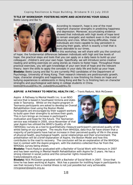**TITLE OF WORKSHOP: FOSTERING HOPE AND ACHIEVING YOUR GOALS** *Beeto Leung and Bai Yu*



According to research, hope is one of the most important character strengths in predicting happiness and depression. Moreover, accumulating evidence showed that individuals with high levels of hope tend to remain energetic and resilient even in the midst of adversity and crisis. When facing difficulties, these individuals are more capable to stay persistent in pursuing their goals, which is exactly a trait that is most desirable to our times.

In this workshop, we will share with you the construct

of hope; the fundamental differences between individuals with high and low levels of hope; the practical steps and tools that you can apply on a daily basis to build up your colleagues', children's and your own hope. Specifically, we will introduce some creative reading and writing exercises on using stories as means to foster hope. Throughout these practical exercises, you will gain knowledge of your own level of hope and the relevant theory; learn the skills to apply the concepts in your daily life and build up your hope. **Biodata:** *Beeto Leung and Bai Yu are currently PhD candidates of the Department of Psychology, University of Hong Kong. Their research interests are posttraumatic growth, hope, character strengths and happiness. Beeto is now finishing his thesis on hope and bullying experiences in adolescents in Hong Kong and Bai Yu is finishing hers on character strengths and psychological well-being in college students in China. beeto@hkusua@hku.hk, yubai@hkusua@hku.hk*

**ASPIRE A PATHWAY TO MENTAL HEALTH INC. -** *Travis* Radunz, *Nick McGowen*

Aspire A Pathway to Mental Health Inc. is an NGO service that is based in Southwest Victoria and statewide in Tasmania. Whilst on the Aspire program in Tasmania participants are asked to develop an Overall Rehabilitation Goal using the Boston Model. Participants are encouraged by their support workers to build upon their strengths to achieve their goals. This in turn brings an increase in participant's motivation and hope for the future. The Tasmanian service was initiated in 2005, since November of that year Aspire has utilized the *WHO's Quality of Life* 



(WHOQoL) survey as a tool to quantitatively measure participant's perceived quality of life whilst being on our program. The results from WHOQoL data thus far have shown that a majority of participants have had an increase in their perceived quality of life in the areas of physical health, psychological health, social relationships and their environment. The presentation will be a brief explanation of Aspire, the Boston Model and how this contributes to the road to recovery. The conclusion will be an explanation of the WHOQoL tool in context with the Aspire program, with the statistics collected thus far from the WHOQoL survey being shown.

**Biodata:** *Travis Radunz graduated with a Bachelor of Social Work with Honours in 2007 and has been working in Mental Health Rehabilitation with Aspire for 2 years. He has a strong interest in social justice and the consumer rights movement. tradunz@aspire.org.au*

**Biodata:** *Nick McGowen graduated with a Bachelor of Social Work in 2007. Since that time he has been working at Aspire. Nick has a passion for instilling hope in participants to see that recovery from a mental illness is not just possible but very achievable. nmcgowan@aspire.org.au*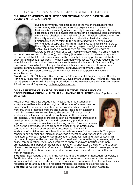**BUILDING COMMUNITY RESILIENCE FOR MITIGATION OF DISASTER; AN OVERVIEW** - Dr*. G. C. Mohanta*



Building community resilience is one of the major challenges for the government, NGOs and social service organisations in the world. Resilience is the capacity of a community to survive, adapt and bounce back from a crisis or disaster. Resilience can be conceptualized along three dimensions physical, emotional and cultural. Physical resilience refers to the ability of a city or community to rebuild its physical structure. Emotional resilience refers to the ability of individuals, families and communities to cope and heal from trauma. Cultural resilience refers to the ability of customs, traditions, languages or religions to survive and evolve. Four properties of resilience are robustness (strength to withstand certain level of stress), rapidity (responding in a timely manner

to contain loss and avoid disruption), redundancy (the extent to which elements, systems etc are substitutable), and resourcefulness (the capacity to identify problems, establish priorities and mobilize resources). To build community resilience, we should reduce the risk to individuals & communities; have in place social networks, leadership & accountability, cooperation & coordination, clearly defined mandates, communication & transparency, fairness, continuous learning, belief systems, conducive environment & lifestyle, infrastructure & support services, positive outlook, sense of purpose and diverse & innovative economy.

**Bioadata:** *Dr. G C Mohanta is Director, Safety & Environmental Engineering and Director, Planning & Resources in Defence Research & Development Laboratory, Hyderabad, India. He has 35 years experience in Planning, Production and Human Resource Management, Safety & Environmental Engineering. mohantag@yahoo.com*

**ONLINE NETWORKS: EXPLORING THE RELATIVE IMPORTANCE OF PROFESSIONAL COMMUNITIES IN ENHANCING RESILIENCE -** *Lisa Papatraianou & Ed Carson*

Research over the past decade has investigated organisational or workplace resilience to address high attrition rates of human service professionals. Previous research has concerned teachers, social workers, child protection workers and nurses, focusing on exploring the links between worker resilience; the successful navigation of workplace challenges; and workers continuing in their chosen professions. Organisational processes such as mentoring, professional development, on the job training and supervisory practices are captured in research as resilience enhancing, while informal processes, such as the knowledge gained from each other through professional communities, are not often explicitly documented. The shift in



landscape of social interactions to online formats requires further research. This paper considers how formal and informal knowledge generation and transmission can be mediated by various modes of communication among workers and their contacts. In particular, it explores the permeability of professional communities by examining whether online communication encourages workers to share workplace practices with nonprofessionals. This paper concludes by drawing on Granovetter's theory of 'the strength of weak ties' to explore the informal consolidation processes of formal knowledge, in an effort to understand how online networks can foster worker resilience and influence worker retention.

**Bioadata:** *Lisa Papatraianou is a PhD candidate at the School of Education, University of South Australia. Lisa currently tutors and provides research assistance. Her research interests include human resilience, teacher resilience, social aspects of technology, online research ethics and qualitative research methods. lisa.papaanou@.unisa.edu.au* **Biodata:** *Ed Carson is Professor of Social Policy at University of South Australia.*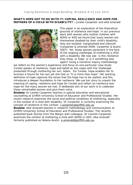#### **WHAT'S HOPE GOT TO DO WITH IT: COPING, RESILIENCE AND HOPE FOR MOTHERS OF A CHILD WITH DISABILITY? -** *Lorelei Carpenter and elke emerald*



This paper is an exploration of the theoretical grounds of resilience and hope. In our previous work with women who mother children with ADHD or ASD we found that many women are themselves disabled by their child's disability; they are isolated, marginalised and silenced (Carpenter & emerald 2009; Carpenter & Austin 2007). Yet, these women persevere in the face of the ongoing challenges of mothering a child with a disability. We now ask: is this resilience they show, or hope or is it something else again? Using a narrative inquiry methodology

we reflect on the women's experience and focus on one particular case study: Coralie speaks of resilience, hope and belief as she copes with the challenges presented through mothering her son, Adam. For Coralie, hope enables her to envision a future for her son yet she told us "It is more than hope". Her working definition of hope captures the sense that the hope has to be realistic and this introduces a deeper foundation to her resilience. We use her story to unpack the meaning of coping, resilience and hope for Coralie and reflect on resilience and hope for the many women we met. A deliberate aim of our work is to celebrate these remarkable women and give them voice.

**Biodata:** *Dr Lorelei Carpenter teaches in special education and educational counselling at Griffith University School of Education and Professional Studies. Her recent research examines the social and political conditions of mothering, especially in the context of a child with disability. Dr Carpenter is currently examining the concept of resilience in this context. l.carpenter@griffith.edu.au*

**Biodata:** *elke emerald teaches in research methodology and communication at Griffith University School of Education and Professional Studies. The recently published book Stories from the Margin with colleague, Dr Lorerlei Carpenter, examines the context of mothering a child with ADHD or ASD. elke emerald formerly published as Helena Austin. e.emerald@griffith.edu.au*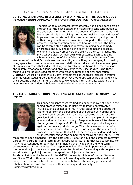#### **BUILDING EMOTIONAL RESILIENCE BY WORKING WITH THE BODY: A BODY PSYCHOTHERAPY APPROACH TO TRAUMA RESOLUTION** *- Andrea Alexander*



The field of body orientated psychotherapy has gained considerable interest over the past decade and made significant contribution to the understanding of trauma. The body is affected by trauma and has a central role in resolving the trauma. Helplessness and lack of hope are common states in the trauma victim and gaining control of their body, emotions and mind is a vital part of the healing process. This presentation examines how working with the body can be taken a step further in recovery by going beyond body awareness and fully engaging the body in the healing process. Working in this way empowers the client as they can practise the physical exercises on their own with outcomes such as feeling vibrantly alive, hopeful, confident and more joyful. A key focus is

awareness of the body's innate restorative ability and actively encouraging it to heal by using specialised trauma release exercises. Methods introduced will include examples of physical exercises that induce shaking and trembling, discharge the freeze response, and restore emotional resiliency and physical confidence. Case studies using these techniques will be discussed together with cross cultural and clinical application. **BIODATA**: *Andrea Alexander is a Body Psychotherapist. Andrea's interest in trauma sparked when studying Core Energetics Body Psychotherapy ten years ago, and it has since become a passion. She has attended workshops internationally, exploring the latest trauma resolution techniques. andreaalexander@optusnet.com.au*

#### **THE IMPORTANCE OF HOPE IN COPING WITH CATASTROPHIC INJURY** *- Pat Dorsett*



This paper presents research findings about the role of hope in the coping process related to adjustment following catastrophic injuries such as spinal cord injury. Qualitative findings about the role of hope from the perspective of the person with spinal cord injury will be discussed. This data was collected as part of a ten year longitudinal year study of an Australian sample of 46 people who sustained spinal cord injury. Respondents were interviewed at discharge from hospital 6, 12, 24, 36, months post discharge and again at ten years post discharge. The interviews consisted of a semi structured qualitative interview focusing on the adjustment process. It was found that 73% of the participants identified hope as an essential factor that helped them following their injury. Three

main foci of hope emerged from the data set: 1.Hope for a full and complete recovery 2.Hope for a cure for spinal cord injury 3.Hope for a future life that was satisfying. For many hope continued to be important in helping them cope with the long-term consequences of their injuries. The respondents identified the importance of hope in their overall adjustment and coping process. Implications for working with people who sustain catastrophic injuries such as spinal cord injury are discussed.

**Biodata**: *Pat is senior lecturer in the Griffith University, School of Human Services and Social Work with extensive experience in working with people with spinal cord injury. Her research interests include the links between the coping process and rehabilitation outcomes for people with severe acquired disability. P.dorsett@griffith.edu.au*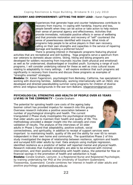**RECOVERY AND EMPOWERMENT: LETTING THE BODY LEAD -** Karen Fagerstorm



Experiences that generate hope and counter helplessness contribute to recovery from trauma. In coping with hardship, trauma and loss, people benefit when they can be active or take action to help restore their sense of personal agency and effectiveness. Activities that provide immediate, noticeable positive effects in sense of wellbeing and that promote restoration and recovery of "self" counteract the sense of powerlessness identified with trauma. What kinds of programs help people to be active players in their own recovery, calling on their own strengths and capacities in the service of repairing damage and building a preferred future?

There is growing interest in therapeutic programs featuring physical activities that are recreational and skill building. Yoga programs serve a spectrum from war veterans to domestic abuse victims. Skiing, hiking and biking programs are developed for soldiers recovering from traumatic injuries (both physical and emotional) as well as for underserved, disadvantaged or troubled youth. Surveying a range of such programs, I will consider underlying rational for these as well as cross cultural issues relating to adaptability to many settings. I will explore evidence that such programs aid significantly in recovery from trauma and discuss these programs as examples of "strengths oriented" strategies.

**Biodata:** *Dr. Karen Fagerstrom, psychologist from Berkeley, California, has specialized in working with divorcing families. Additionally, working internationally with an INGO, she developed and directed peacebuilding summer camp programs for children of diverse ethnic and religious backgrounds in the war-torn Balkans. kfagerstrom@gmail.com*

**PSYCHOLOGICAL STRENGTHS AND HEALTH OF PEOPLE OVER 65 YEARS LIVING IN THE COMMUNITY -** *Coralie Graham*

The potential for spiraling health care costs of the ageing baby boomer cohort has provided impetus for research into this group. Overseas research indicates a positive association between a number of psychological strengths and health. The current triangulated 2 Phase study investigates the psychological strengths that older adults use to maintain their health and quality of life. This methodology provided a deeper insight into the concepts and cross validation of results. The analysis of the interviews of 10 older adults in Phase 1 found that adaptability, positive outlook, social



connectedness, and spirituality, in addition to receipt of support services were important to maintaining health, quality of life and the ability for over 65 to remain independent in their own home and community. The quantitative Phase 2 of this study investigated the degree of relationship between resilience, optimism and health and surveyed 620 older adults by mail. Data analysis using multiple regression, identified resilience as a predictor of better self reported mental and physical health. Research indicates that multiple strengths are able to be enhanced with minimal intervention, and their positive relationship with health status, the potential for flow on financial savings in the promotion of health and satisfaction is huge.

**Biodata:** *Coralie Graham, Lecturer, is a Registered Nurse and Registered Psychologist, by training undertaking her PhD at the University of Southern Queensland, Toowoomba, Queensland. Coralie combines her interest in health of older adults and positive psychology. grahamco@usq.edu.au*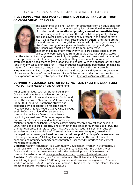**I'VE STOPPED WAITING: MOVING FORWARD AFTER ESTRANGEMENT FROM AN ADULT CHILD -** *Kylie Agllias*



The experience of being "cut-off" or estranged from an adult-child can be devastating. It is characterised by loss of emotional intimacy, lack of contact, and **the relationship being viewed as unsatisfactory.** It is an ambiguous loss because the adult-child is physically absent, but also psychologically or emotionally present in the older parent's life. It is a loss that is rarely recognised by others, and there are no social rituals to mark the grief associated with it. Ambiguous loss and disenfranchised grief are powerful barriers to coping and grieving. This paper will report on findings from an interpretive phenomenological study with twenty-six participants aged over 60 years, who were estranged from an adult-child. Participants stated

that the effects of estrangement never fully dissipated, but over time most had started to accept their inability to change the situation. They spoke about a number of strategies that helped them to live a good life and to deal with the absence of their child (and in many cases grandchildren). These included; establishing boundaries, minimising triggers for pain, keeping busy, and nurturing relationships with special people. **Biodata:** *Kylie Agllias is a social work lecturer and doctoral candidate at the University of Newcastle, School of Humanities and Social Sciences, Australia. Her doctoral topic is the experience of family estrangement in later life. Kylie.Agllias@newcastle.edu.au*

**COMMUNITY DESIGNED ICT'S FOR BUILDING RESILIENCE: THE GRANITENET PROJECT.** *Kath McLachlan and Christine King*

Rural communities, such as Stanthorpe in SW Queensland have faced challenges on social, environmental, cultural and economic fronts, and found the means to "bounce back" from adversity. From 2003 2006 "A Stanthorpe study" was conducted by a collaborative research team (Hegney, Ross, Baker, Rogers-Clark, King, Buikstra et.al. 2008), which identified personal and community resilience factors that enhance psychological wellness. This paper explores the occurrence of these eleven identified factors in



relation to another collaborative participatory action research project that began in 2006, that aims to build capacity and strengthen resilience through the use of ICT. The GraniteNet project is a "grass roots" initiative that has used "insider' and "outsider" expertise to create the vision of "A sustainable community designed, owned and managed portal, www.granitenet.com.au that will support Stanthorpe's development as a learning community." Lifelong learning principles underpin the portal concept, enhancing community connectedness through a user friendly interface and content management system.

**Biodata:** *Kathryn McLachlan is a Community Development Worker in Stanthorpe, a* **Biodata:** *Dr Christine King is a Senior Lecturer at the University of Queensland, small rural town in S/W Queensland, and a PhD candidate with the University of Queensland. Kath has been involved with the re-development of GraniteNet, a community website portal, www.granitenet.com.au cdskath@halenet.com.au specializing in participatory RD&E in agriculture and resource management. She has worked on ACIAR / AusAID projects in Cambodia, India and The Pacific Islands, leading teams of experts. christine.king@uq.edu.au*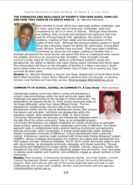#### **THE STRENGTHS AND RESILIENCE OF POVERTY STRICKEN RURAL FAMILIES AND HOW THEY SURVIVE IN SOUTH AFRICA -** *Dr. Mecuitio Motshedi*



Black families in South Africa face seemingly endless challenges, and for many years they had no resources, knowledge, skills and competence to call on in times of distress. Although these families had nothing, they survived and somehow had capacities that they used for striving towards their aspirations, the solution of their problems, meeting of their needs and the enhancement of the quality of their lives. Although the previous political system in South Africa had a dramatic impact on family life, particularly among Black South Africans, families have survived. They have taken initiatives, summoned up resources and coped. Looking at families from a

strength perspective the social worker will spend little time to understand what caused the problem and focus on uncovering their strengths. These strengths include survivor's pride, hope for the future, ability to understand another's needs and perspectives, the ability to identify and make choices about individual and family goals. This presentation will focus on the strengths of families in a deep rural area in South Africa where there are no resources and where most of them live in poverty but have survived all these years.

**Biodata:** *Dr. Mecuitio Motshedi is lecturer and Head, Department of Social Work at the North West University, South Africa. Meruitio's doctoral work has focused on povertystricken rural families and how they survive. Mosimanegape.Motshedi@nwu.ac.za*

**COMMUNITY-IN-SCHOOL, SCHOOL-IN-COMMUNITY, A Case Study** - *Mark Davidson*

Intentionally building community within a school and developing a school's interconnectedness within the local community opens both challenges and opportunities to the concept of 'school community'. The presentation will explore how the St. Paul's School community seeks to 'do things differently' rather than 'doing different things'. The two separate but complementary full time roles of the community development worker and the cultural development worker, their practice frameworks and principles, contribute new perspectives within the education context. Since establishment in 2006, St. Paul's School Community Partnerships has gradually and intentionally integrated within the daily life of the school community. Today, as an embedded program,



Community Partnerships is an integral component of a whole school focus on strengthsbased practice, seeking to build shared, sustainable community of difference. The holistic approach seeks to collaboratively build a positive learning environment and welcoming learning community, which incorporates: A shared school leadership model; Building a shared, sustainable community of difference; Cultural development within a learning context; A Behaviour Learning model combined with School-wide Positive Behaviour Support (SWPBS); Various strategies and programs for resilience and coping skills development and Staff support and peer mentoring strategies. The St. Paul's school community seeks to work with disconnection, by developing community, belonging, and shared ownership. Through discovering and highlighting the unique stories, strengths, cultures, resources, insights and experiences that exist individually and collectively, people have permission, voice, and power to address social isolation and injustices, and confidently engage as valued members in their community.

**Biodata:** *Mark Davidson, a Community Development Worker, and Scott Charles, a School Cultural Development Worker represent the St. Paul's School Community Partnerships program. Mark and Scott are both part of the school leadership team and seek to work collaboratively with school staff, students, families, local community and local agencies. mdavidson@bne.catholic.edu.au*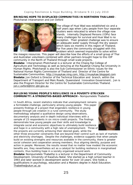**BRINGING HOPE TO DISPLACED COMMUNITIES IN NORTHERN THAILAND** - *Photchanat Intaramanon and Jon Oxford*



The village of Huai Wad was established six and a half years ago when Lahu people from four separate clusters were relocated to where the village now stands. Internally Displaced Persons (IDPs) face many challenges for survival and Huai Wad is no exception. Their greatest challenge was to ensure an adequate water supply through the dry season which lasts six months in this region of Thailand. For five years the community struggled with this problem which seemed impossible to solve within

the meagre resources. This paper will describe how the efforts of a small group of Thai and Australian volunteers combined with other partners brought hope to this IDP community in the North of Thailand through small scale projects. **Biodata:** *Intaramanon Photchanat is a lecturer at the Chiang Rai College of Agriculture and Technology as well as lecturing at the Rajabhat Chiang Rai University in*

*Human Rights. Photchanat is also the Sub Commissioner on Ethnic Issues for the National Human Rights Commission of Thailand and Director of the Centre for Sustainable Communities. http://muaykae.ning.com, http://muaykae.blogspot.com* **Biodata:** *Jon Oxford is Director of the Technical Education and branch, within the Department of Transport and Main Roads, Queensland Innovation Government.. Jon is also the Program Director for the Centre for Sustainable Communities Thailand. jon.c.oxford@tmr.qld.gov.au*

#### **BUILDING YOUNG PEOPLE'S RESILIENCE IN A POVERTY-STRICKEN COMMUNITY: A STRENGTHS-BASED APPROACH -** *Nompumelelo Thabethe*

In South Africa, recent statistics indicate that unemployment remains a formidable challenge, particularly among young people. This paper presents findings of a project that engenders resilience in young people through job creation in a rural community. The study methodology adopted a qualitative design using observations, documentary analysis and in-depth individual interviews with a sample of 23 respondents in six micro-credit projects. The findings demonstrate how young people use their skills and knowledge to integrate social and economic objectives to ultimately build resilience and hope in a community with a high rate of unemployment. Three of the projects are currently achieving their desired goals, while the



other three encounter constraints that are beyond their control such as lack of markets and electricity shortages. Despite the challenges, evidence suggests that when people build on existing strengths and resources available in the community, there is greater social cohesion and cooperation among members, thus aligning identity, purpose and action in people. Moreover, the results reveal that no matter how modest the economic benefits are, they nevertheless act as a catalyst for building resilience in marginalised contexts, thus building hope in a society organised around work.

**Biodata:** *Nompumelelo Thabethe is a lecturer in the Department of Community Development, University of KwaZulu-Natal. She started as a high school teacher in 1993 and later worked in development sector for over 10 years. She holds a qualifications in psychology, education and a Masters degree in Adult Education. Thabethe@ukzn.ac.za*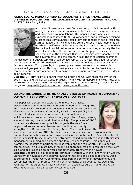*USING SOCIAL MEDIA TO REBUILD SOCIAL RESILIENCE AMONG LARGE DISPERSED POPULATIONS: THE CHALLENGE OF CLIMATE CHANGE IN RURAL AUSTRALIA* **-** *Terry Reilly*



Australian Governments must find new policy tools to more directly manage the social and economic effects of climate change on the vast and dispersed rural populations. This paper outlines one such experiment in southern NSW *Squawk.com* a social network designed to assist local communities rebuild key components of social resilience such as "leadership" while helping stem the social health demands on health and welfare organizations. In the first section the paper outlines the decline in social resilience in these communities, especially the loss of local leadership. The second section of the paper reviews the shortcomings of the dominant *Disaster Recovery* Model adopted by all the governments (and the communities).The third section examines

the evolution of Squawk.com which will go live February this year. The paper describes how Squawk is to rebuild "leadership" by developing *Communities of Interest* (among farmers, Women, Young people, Aborigines, government workers , commercial & professional groups) across the region using social media tools; and by Providing the community and service agencies with a point of engagement to create and share ideas about renewal

**Biodata:** *Dr Terry Reilly is a partner with Galbraith and Co. with responsibility for the Social Media and the Sustainability Practices. With KPMG Singapore and KPMG Australia, he worked with Governments across the region to improve the delivery of Social Policy programs. terry.reilly@galbraithco.com | www.galbraithco.com*

#### **BEYOND THE BARRIERS: USING AN ASSETS BASED APPROACH IN SUPPORTING COMMUNITIES TO SUPPORT THEMSELVES** - *Dee Brooks*

This paper will discuss and explore the innovative practical experience and community research being undertaken through the ABCD Asia Pacific Network and the Family Action Centre, University of Newcastle. Asset Based Community Development (ABCD) is a process of utilising the existing assets of communities and individuals to ensure an inclusive society regardless of age, culture, economic status, location and physical ability. The process of ABCD provides key elements and principles to guide the way forward to help ourselves and others discover and mobilise community strengths. Dee Brooks from the Family Action Centre will discuss the



various methods of how ABCD has been successfully utilised when working with transient communities living on caravan parks in the Hunter Valley. She will highlight how it is possible to use an asset and strengths-based approach to assist with disaster management planning and domestic and family violence issues. This paper will examine the benefits of participatory leadership and the role of ABCD in supporting communities. It will explore how through this approach, residents can utilise their own skills and abilities to be empowered and ultimately transform their lives!

**Biodata:** *Dee Brooks is a passionate community worker with the Family Action Centre, University of Newcastle who believes everyone has gifts and abilities to share. Dee's background is; youth work, community research and community development. She coordinates the B.I.G. project, working with residents of caravan parks. Dee is the*  Facilitator of the ABCD Asia Pacific Network, an accredited ABCD Trainer and Art of *Hosting Facilitator. Dee.Brooks@newcastle.edu.au*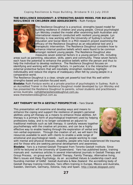#### **THE RESILIENCE DOUGHNUT: A STRENGTHS-BASED MODEL FOR BUILDING RESILIENCE IN CHILDREN AND ADOLESCENTS -** *Ruth Fordyce*



The Resilience Doughnut is a practical, strengths-based model for building resilience in children and young people. Clinical psychologist Lyn Worsley created the model after examining both Australian and international research conducted with resilient young people. Lyn Worsley is now working with the University of Sydney's school of Education and Social Work in a PhD research project examining the efficacy of the Resilience Doughnut as an educational tool and a therapeutic intervention. The Resilience Doughnut considers how to enhance internal positive beliefs which were found to be common amongst resilient young people. The Resilience Doughnut also measures seven external factors in a young person's life, including

areas such as parenting, education, skills, peers and community. These seven factors each have the potential to enhance the positive beliefs within the person and thus to help the individual to develop resilience. The Resilience Doughnut focuses on identifying and working with strength factors. In particular, it is the interaction of the external protective factors that will inevitably strengthen resilience, highlight individuality and reduce the stigma of inadequacy often felt by young people in a comparative world.

The Resilience Doughnut is a clear, simple yet powerful tool that fits well within strengths-based and solution-focused work.

**Biodata:** *Ruth Fordyce works at a private practice of psychologists in Sydney. Ruth is an Accredited Trainer in the Resilience Doughnut model developed by Lyn Worsley and has presented the Resilience Doughnut to parents, school students and practitioners across Australia. ruth@theresiliencedoughnut.com.au, www.theresiliencedoughnut.com.au*

#### **ART THERAPY WITH A GESTALT PERSPECTIVE -** *Yaro Starak*

This presentation will examine and develop ways and means to enhance the coping and support the resilience of people's personal abilities using art therapy as a means to enhance those abilities. Art therapy is a primary form of psychological treatment used by helping professions today, and is no longer considered an adjunct to traditional methods such as talk therapy. It carefully weaves together psychotherapy with the creative art process, and can be a highly effective way to enable healing through the exploration of verbal and non-verbal expression. Through the creation of art, we will learn the resources available to work with clients to enable a wide range of emotional and psychological needs - such as people working to cope



with mental and physical illnesses, disability, people who have experienced life traumas and for those who are seeking personal development and awareness.

**Biodata:** *Yaro is a trained Gestalt Therapist from Toronto Gestalt Institute. Since 1978 he lectured at the University of Queensland. Yaro has published books, training manuals and numerous articles in several international journals in Gestalt Therapy and Group Process, on group work, Gestalt Therapy, Family Therapy, Alternative living, Men's issues and Deep Psychology. As an accredited Values & Leadership coach and founding member of GANZ Gestalt Australia & New Zealand the accrediting body of Gestalt therapy training Institutes, Yaro offers training in Europe, Mexico and Australia, Sweden, Denmark, Germany, Estonia, Italy and Spain. http://starak.blogspot.com/*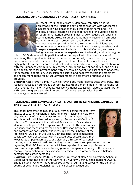#### **RESILIENCE AMONG SUDANESE IN AUSTRALIA -** *Kate Murray*



In recent years, people from Sudan have comprised a large percentage of the Australian settlement program with widespread diaspora following decades of civil war in their homeland. The majority of past research on the experiences of individuals settled through humanitarian programs has largely focused on reports of post-traumatic stress disorder and pathology resulting from prior trauma. An in-depth study using qualitative and quantitative methods was completed in 2007 to examine the individual and community experiences of Sudanese in southeast Queensland and to explore experiences of adaptation, life satisfaction, and wellbeing over and above the experiences of adversity and pathology. A

total of 90 Sudanese adults participated in the project with the principal aim of examining the impact of individual experience, community context and programming on the resettlement experience. The presentation will reflect on key themes highlighted from the research and developed in conjunction with ongoing collaboration with the Sudanese community. Key themes include the role of social ties, basic skills, and opportunities for advancement within Australian society as essential components for successful adaptation. Discussion of positive and negative factors in settlement and recommendations for future advancements in settlement practices will be provided.

**Biodata:** *Kate Murray a PhD in Clinical Psychology from Arizona State University. Her research focuses on culturally appropriate health and mental health interventions for racial and ethnic minority groups. Her work emphasizes issues related to acculturation with recent migrants and the intersection of mental and physical health. kmurray@projects.sdsu.edu*

**RESILIENCE AND COMPASSION SATISFACTION IN CLINICIANS EXPOSED TO THE 9/11 DISASTER -** *Carol Tosone*

This paper presents the results of a survey exploring the long-term impact of 9/11 on clinicians practicing and/or residing in New York City. The focus of the study was to determine what variables are associated with clinician resiliency and professional satisfaction. A total of 481 members of the National Association of Social Work Manhattan Chapter (38% response rate) replied to the mail survey. Resiliency was measured by the Connor-Davidson Resiliency Scale and compassion satisfaction was measured by the subscale of the Professional Quality of Life Scale. Both resiliency and compassion satisfaction were associated with increased age, secure attachment, lower rates of posttraumatic stress disorder, a history of personal



trauma, and advanced institute training. In response to an open-ended question regarding their 9/11 experiences, clinicians reported themes of professional posttraumatic growth, such as having greater therapeutic intimacy with patients, a renewed appreciation for their chosen profession, and a greater ability to balance personal and career demands.

**Biodata:** *Carol Tosone, Ph.D. is Associate Professor at New York University School of Social Work and recipient of the New York University Distinguished Teaching Award. She is Editor-in-Chief of the Clinical Social Work Journal and serves on the editorial boards of several professional journals. carol.tosone@nyu.edu*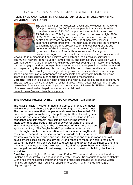**RESILIENCE AND HEALTH IN HOMELESS FAMILIES WITH ACCOMPANYING CHILDREN -** *Meredith Nirui*



The significance of homelessness is well acknowledged in the world. Of approximately 100,000 homeless people in Australia, families comprised a total of 23,000 people, including 9,543 parents and 13,401 children. This figure rose by 17% on the census night 2006 (ABS, 2008). Although homelessness is associated with a range of health and psychosocial problems, not all homeless persons experience severe problems. The main aim of this qualitative study is to examine factors that protect health and well being of this sub population of the homeless, using Antonovsky's orientation to life hypothesis. Results of in-depth interviews and focus group discussions suggest some homeless mothers were more resilient and

viewed life in a meaningful and positive way. Factors such as religion/spirituality, community network, family support, employability and past history of addiction were common denominators in those who exhibited stronger coping skills. Recommendations such as engaging and encouraging homeless mothers to take part in activities regulated and organised by the shelters, childminding facilities for mothers to attend courses to prepare for future employment, targeted programs for homeless children attending schools and provision of appropriate and accessible and affordable health programs seem to be appropriate in enhancing women's coping mechanisms.

**Biodata:** *Meredith is a public health professional with a diverse educational background. She worked as a clinician, academic, policy analyst, health outcomes coordinator and researcher. She is currently employed as the Manager of Research, SESIPHU. Her areas of interest are disadvantaged population and child health. meredith.nirui@sesiahs.health.nsw.gov.au*

**THE FRAGILE PUZZLE: A HEURISTIC APPROACH** - *Lyn Blighton*

The Fragile Puzzle™ follows an heuristic approach in that the model actively integrates theory and practice according to the clients' need. The method assumes that: people innately seek to achieve their full potential in spiritual well-being; the pathway is often blocked by fear, false pride and ego eroding spiritual energy and resulting in loss of confidence and self-esteem; this sets up self fulfilling cycles of interaction that encourage a misuse of power resulting in a loss of love; and loss of love leads to the development of fear, false pride and egotistic thinking. The Fragile Puzzle™ provides a proforma which cuts through complex communication and builds inner strength and resilience to support the person's progress towards self-discovery and



mastery over fear, false pride and ego. The process is one of maturation and skill development based on the analogy of: Strong ropes are made of weak fibres bound together- To become strong we need to recognise and accept our weaknesses and bind them in to who we are. Once we master this, all of our parts become available to us and we gain remarkable spiritual energy that we can invest into building the life we would like.

**Biodata:** *Lynne Blighton B Soc Wk, Grad Cert ASWP has worked as a social worker in England and Australia. Her passion is to create therapeutic products to market globally. Lynne has two registered trademarks which protect her intellectual property: When families are happy their radiance reflects into society™ and The Fragile Puzzle™ blighton2@aol.com*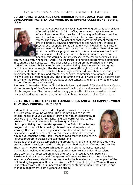**BUILDING RESILIENCE AND HOPE THROUGH FORMAL QUALIFICATIONS FOR DEVELOPMENT FACILITATORS WORKING IN ADVERSE CONDITIONS** *Beverley* - *Killian*



In a survey of development facilitators working primarily with children affected by HIV and AIDS, conflict, poverty and displacement in Africa, it was found that their lack of formal qualifications, combined with the lack of recognition of their efforts, was a primary source of stress. The survey also identified that many development facilitators live in extremely adverse circumstances and were direly in need of psychosocial support. So, as a step towards alleviating the stress of development facilitators and giving them hope about themselves and others, a certificate programme with the basic rationale was that if the development facilitators were to become more resilient and hopeful, this would be in turn cascade to the children, families, and

communities with whom they work. The theoretical orientation programme is grounded in strengths-based practice. In the pilot phase, the programme reached nearly 500 students in seven sub-Saharan African countries. Using distance learning and group participation methodologies, the students progressed through six modules: selfdevelopment and reflective practice; human rights and child protection; child and youth development; child, family and community support; community development; and finally, a service-learning module. The programme evaluation was strongly positive both in terms of the relevance of the certificate course content, and in terms of its relevance to the different forms of adversity.

**Biodata:** *Dr Beverley Killian, a Clinical Psychologist and Head of Child and Family Centre at the University of KwaZulu Natal was one of the initiators and academic coordinators of this programme. She has worked for many years with children exposed to risk and has developed various group programmes to enhance resilience. Killian@ukzn.ac.za*

**BUILDING THE RESILIENCY OF TEENAGE GIRLS AND WHAT HAPPENS WHEN THEY HAVE PURPOSE** - *Ruth Knight*

*Girls With A Purpose* has been developed to provide a relevant life skills program for young women. The program aims to address esteem needs of young women by providing with an opportunity to develop their knowledge, resilience and self worth. Central to the program's frame of reference is the Strengths-Based philosophy. Using the strengths approach, the *Girls With A Purpose* program aims to facilitate healthy discussions and experiential learning. It provides support, guidance, and boundaries for healthy development and mental health. A recent evaluation of a program run in a Queensland State High School showed that the *Girls With A Purpose* program increased the confidence and



life skills of the girls that completed the program. All of the girls felt that they more positive about their future and that the program had made a difference to their life. The program outcomes were achieved through a strengths-based approach that utilised positive reinforcement, supportive adult relationships, discussions and activities that focussed on developing social and cognitive competencies. **Biodata:** *Ruth is founder and Chairperson of Lifehouse Project Inc. Ruth has been awarded a Centenary Medal for her services to the homeless and is a recipient of the Outstanding Inspirational Role Model Award 2010 presented by the Women At Work Leadership Awards. Ruth is undertaking Doctor al studies in non-profits culture and change management. admin@lifehouse.org.au*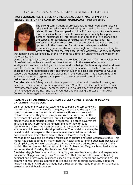#### **PROFESSIONAL RESILIENCE AND PERSONAL SUSTAINABILITY: VITAL INGREDIENTS OF THE CONTEMPORARY WORKPLACE** - *Michelle Bihary*



The strong commitment of professionals to their workplace roles can take a toll on resilience and wellbeing, and lead to burnout and stress related illness. The complexity of the  $21<sup>st</sup>$  century workplace demands that professionals are resilient, possessing the ability to support personal sustainability, interpersonal and emotional intelligence and the capacity to participate constructively in organisational life. Professional Resilience ensures that professionals stay energised and optimistic in the presence of workplace challenges or whilst experiencing personal stress. Increasingly workplaces are looking for ways to strengthen the resilience of their workforce, as they recognise

that ignoring the sustainability of their workforce ultimately undermines the viability of the organisation.

Using a strength-based focus, this workshop provides a framework for the development of professional resilience based on current research in the areas of emotional intelligence, positive psychology, happiness and wellbeing. Contemporary wisdom drawn from the corporate fields in leadership and energy management, eastern and spiritual philosophies and mindfulness provides further evidence based and innovative ways to support professional resilience and wellbeing in the workplace. This entertaining and authentic workshop inspires participants to make a renewed commitment to their resilience and wellbeing.

**Biodata:** *Michelle Bihary is a clinician, supervisor, trainer and consultant drawing on extensive training and 28 years experience as a Mental Health Occupational Therapist, Psychotherapist and Family Therapist. Michelle is sought after throughout Australia for her innovative programs. She is the Founder and Managing Director of The Delta Centre. m.bihary@thedeltacentre.com.au*

#### **REAL KIDS IN AN UNREAL WORLD: BUILDING RESILIENCE IN TODAY'S CHILDREN -** *Maggie Dent*

Children need many essential experiences to build the competencies that will help them manage life the good, the bad and the ugly. This common sense, practical model will reassure those who work with children that what they have always known to be important in the early years of a child's education are still important! The 10 building blocks model that Maggie created in response to a state government initiative in WA to promote the understanding of how to build resilience in children has been embraced as a model of understanding what every child needs to develop resilience. The model is a strengths based model that explores the essential needs of children and shows how parents can keep strengthening their children's capacity to



manage their lives and be capable regardless of culture and socio economic status. This model has been adopted by many maternal health and parenting educators because of it's simplicity and Maggie has become a huge early years advocate as a result of this model. This focuses on children from birth to 12. Based on Maggie's book Real Kids in an Unreal World: Building Resilience and Self Esteem

**Biodata:** *Maggie Dent is an author, parenting and resilience educator and inspirational presenter. Maggie currently runs "Esteem Plus" that promotes the value of building personal and professional resilience especially in homes, schools and communities. Her common sense, practical approach to life and all that it brings particularly about the healthy raising of children has made her a regular on the Today Program on Channel 9. esteemplus@rainbowis.com.au*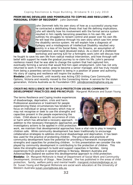#### **FROM BEING DEVALUED AND POWERLESS TO COPING AND RESILIENT: A PERSONAL STORY OF RECOVERY** - *John Dommett*



John Dommett tells his own story of how as a successful young man he contracted a debilitating illness that had life defining implications. John will identify how his involvement with the formal service system resulted in him rapidly becoming powerless in his own life, and outlines his struggles to reclaim control and power over his own life. He will lead the audience through his own story which saw him enter the disability service system. He will explain how a diagnosis of Epilepsy and a misdiagnosis of Intellectual Disability resulted very quickly in a loss of his Social Roles, his Dreams, an assumption of incompetence, and rapid devalued status. As a client of a sheltered workshop and earning \$20 for a fortnights work John will discuss how

he fought to save his own life from radical medical intervention, and how through selfbelief with support he made the gradual journey to re-claim his life. John's personal resilience meant that he was able to change the system that had captured him, eventually forming a service that would find him open employment. John has not only returned to work in the sector, grew to become a senior manager, and has truly moved from being a powerless service recipient to being in a position of power and authority. His story of coping and resilience will inspire the audience.

**Biodata:** *John Dommett, until recently was Acting CEO Uniting Care Community Options, Victoria and recently moved to the Connecting Home- A service for the stolen generation, Victoria Australia as its Foundation CEO. john@connectinghome.org.au*

**CREATING RESILIENCE WITH CHILD PROTECTION USING COMMUNITY DEVELOPMENT PRACTICES AND PRINCIPLES** - *Margaret McKenzie and Susan Young*

The terms *Resilience* and *Coping* invoke experiences of disadvantage, deprivation, crisis and harm. Professional assistance or treatment for people experiencing these circumstances has tended to focus on individual or group recovery which may or may not recognise or seek to use the strengths and capacities present in the people experiencing the crises. Child abuse is a specific occurrence of crisis or harm which has attracted a recovery approach. In addition to the necessary therapeutic approaches and investigatory actions to be applied in child protection



*Dr. Margaret McKenzie is Head of Department of Social Work and Community* **Biodata:** *Development, University of Otago , New Zealand . She has published in the areas of child protection, family, welfare policy and mental health. margaret.mckenzie@otago.ac.nz Dr. Susan Young and Margaret McKenzie are social work educators at the University of Western Australia susan.young@uwa.edu.au* work, we maintain that developmental approaches have a vital role to play in keeping children safe. While community development has been traditionally to encourage collaborative strategies to address structural disadvantage and deprivation, it has been less used for the practice of protecting children. The principles and practices of community development have the potential for providing a framework incorporating strengths and capacities for protecting children. In this presentation we consider the role played by community development in contributing to the protection of children. This takes the strengths approach to build and support capacities in families. Using experiences from practice in several settings in Norway, Western Australia and Aoteoroa/New Zealand we outline this developmental approach to child protection.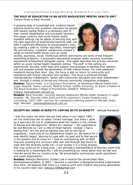**THE ROLE OF EDUCATION IN AN ACUTE ADOLESCENT MENTAL HEALTH UNIT** *Tatjana Ewais & Ranji Goundar*

A growing body of knowledge and evidence based practice confirms that academic education for people with severe mental illness is a necessary part of their overall rehabilitation and successful recovery. This paper confirms that acute mental health inpatient settings can be places of learning and, with the right approach of experienced teaching staff, can offer a significant difference to young people's lives, by creating a path to further education, meaningful life and recovery. Inpatient adolescents present a range of mental health issues such as mood,



anxiety, psychosis, social, intellectual deficits and trauma are some of the frequent presenting problems. A purposeful educational program seeks recovery, promotes educational acheivement alongside coping. This paper describes the process outcomes within an acute mental health impatient setting. The staff in this setting are experienced, focused, instill hope and support young people to develop their identity, role and purpose outside the parameters of their mental illness. For most adolscent inpatients during their short stay, the focus is also on return to community and assistance with further education and vocation. This focus is achieved through interdisciplinary collaboration, liaison with community educators and other stakeholders and through a variety of formal and informal community integration strategies. **Biodata:** *Tatjana Ewais is a Consultant Psychiatrist, at Adolescent Mental Health Unit, Logan Hospital; Senior Lecturer, Medical School, Griffith University. Dr Ewais is Fellow of The Royal Australian College of Psychiatrists (RANZCP, Melbourne)*

*Tatjana\_Ewais@health.qld.gov.au*

**Biodata:** *Ranji Goundar, currently teaches Adolescent Mental Health Students in Logan Hospital. Ms. Gounder holds B.Ed and M Ed majoring in Career Guidance and Counseling, (QUT) 1997 and has her substantive teaching position in Marsden State High, Marsden. gajanang@optusnet.com.au*

#### **ACCEPTING INNER DIVERSITY/COPING WITH DIVERSITY** - *Nebojša Manojlović*

I was four years old when the war took place in our region 1992. I am the child from the so called "mixed marriage" and when I grow up it was hard for me to understand what this means in the context of Bosnia and Herzegovina? Where do I belong? I am supposed to be real Bosnian as I am a child of three nations. Instead, I had a feeling that I am lost and an identity was lost by the fall of Yugoslavia. Insecurity of my adolescence lingers on. My search for a new identity began, learning to cope with my past and to feel secure in the present and to move on. I took to volunteering with an NGO that was assisting the survivors after war and through that learnt to cope with the diversity inside me. In our society it is a living process



that may continue for a long time. I am perhaps a representative of Bosnian youth that is looking for a meaningful life. I will be presenting our views about how we feel and how we would like our country to be. My presentation summarises youth aspirations and youth expectations.

**Biodata:** *Nebojša Manojlovic studies Law in Austria the Universitaet Wien, Rechtswissenschaften, in 2007, I become a volunteer in Nongovernmental organisation Vive Zene. He believes that there is a need to work with children and young generation in his country right now. nebojsa.m88@gmail.com*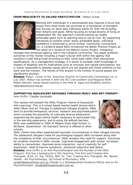#### **FROM MEDIOCRITY TO VALUED PARTICIPATION** - *Robyn Culver*



Working with individuals in a personalized way requires a focus that moves from what funds can purchase to a framework of strengths that focuses on what each individual wants for their life including their dreams and goals. While focusing on broad dreams of living an independent life, the approach involves picking up readily achievable goals such as learning how to use an iron. By supporting individuals to achieve small, easily achievable goals, individual confidence is enhanced to strive further. Community Connections Inc, a Canberra based NGO introduced the Better Practice Project as the result of a review of the Mature Carers Project, instigating

changes that enhanced agency role in the Canberra community. This paper presents outcomes of this review including a major cultural shift within the agency that resulted in staff being hired according to their value base rather than educational qualifications. As a management strategy, it is easier to broaden staff knowledge in respect of disability and its implications such as inclusion and valued participation, but is nearly impossible to develop values which are not aligned with those inherent to the work and the mission. The results of this project in the context of young people are significantly positive.

**Biodata:** *Robyn Culver is the Executive Director of Community Connections Inc in July 2007. Robyn has worked in both the ACT and southern and Regional NSW . Robyn delivers values based training in the field of aged and disability sectors. robyn@comcons.org.au*

**SUPPORTING ADOLESCENT REFUGEES THROUGH MUSIC AND ART THERAPY -**  *Claudje Lecompte Jane Griffin,* 

This session will present the HEAL Program (Home of Expressive Arts Learning). This is a school-based mental health service which offers Music and Art Therapy to adolescent refugee students. HEAL aims to provide therapeutic services, research and psychoeducation which increase the possibility of culturally diverse adolescents experiencing the good mental health necessary to participate fully in the learning experience, and to enjoy life without barriers. HEAL was established in 2004 at Milpera State High School, in Brisbane, Queensland . An Outreach Service is offered to other schools.



HEAL clients have often experienced traumatic circumstances in their refugee journey. The adolescent refugee's need for psychological support often increases along with the complexity of their circumstances. HEAL answers this need for support. Outcomes for students involved in HEAL include: Improved engagement with school; increased ability to concentrate; improved social interaction; use of creativity for selfexpression; relief of trauma symptoms; enhanced subjective well-being.

**Biodata:**  *Jane Griffin is an Arts Psychotherapist and the founder of the HEAL Program. She has a background in ESL teaching, Fine Arts and Creative Arts Therapies. B.Ed, Gr. Dip. TESOL, BFA, Gr. Cert. Creative Arts Therapies, Ma. Mental Health - Art Psychotherapy, UQ School of Psychiatry, ATR.* 

*janebill@optushome.com.au Claudje is a Developmental Guidance Officer and an Art Psychotherapist. claudje@theopenstudio.com.au*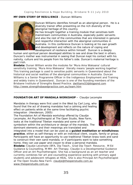#### **MY OWN STORY OF RESILIENCE** - *Duncan Williams*



Duncan Williams identifies himself as an aboriginal person. He is a diversity trainer offen presenting on the rich diversity of the aboriginal heritage of this country.

He has brought together a training module that sensitises both mainstream communities in Australia, especially public servants and also the rest of the communities that are interested in genuine and respectful interaction with the aboriginal communities in Australia. In this conference Duncan is looking at his own growth and development and reflects on the nature of coping and development of resilience within himself. Duncan is a deeply

human and spiritual person developed abilities to see and draw the best in others. Duncan's mother was instrumental in seeing that Duncan kept his contact with his nativity, culture and his people from his father's side. Duncan's maternal heritage is part Irish.

**Biodata:** *Dunan William wrote the modules for 'Mura Ama Wakaana' cultural sensitivity training. 'Mura Ama Wakaana' literally means 'people working together'. This training package is used to sensitise public servants in Queensland about the historical and social realities of the aboriginal communities in Australia. Duncan Williams is a Senior Programme Officer in the Indigenous Employment and Training and widely trains in Queensland.. Duncan is one of the founding members of the Brisbane Institute of Strengths Based Practice. dwilliams53@bigpond.com http://www.strengthsbasedpractice.com.au/team.htm*

#### **FOUNDATION ART OF MANDALA WORKSHOP -** *Claudje Lecompte*

Mandalas in therapy were first used in the West by Carl Jung, who found that the act of drawing mandalas had a calming and healing effect on patients while at the same time facilitating psychic integration (Henderson, 2005)

The Foundation Art of Mandala workshop offered by Claudje Lecompte, Art Psychotherapist at The Open Studio, New Farm, looks at the traditional Tibetan mandala and some of the symbolism within the architecture or design of the mandala. The dominant elements and their meanings are translated and



integrated into a model that can be used as a **guided meditation or mindfulness practice**, either as self-therapy or with an individual client, couple, family or group. Participants will have an opportunity to use traditional Tibetan brass tools and sand to construct their own sand mandala, or if participants want to take something home, they can use paper and crayon to draw a personal mandala.

**Biodata:** *Claudje Lecompte (BFA, Dip Teach., Grad Dip Teach Resource, M Ed Guidance & Counselling, M MH- Art Therapy. Claudje is a Developmental Guidance Officer and an Art Psychotherapist. She has a background as an art teacher and currently combines her art and counselling experience working with primary aged students and adolescent refugees at HEAL. She is also Principal Art Psychotherapist at The Open Studio-New Farm. claudje@theopenstudio.com.au* 

*www.theopenstudio.com.au*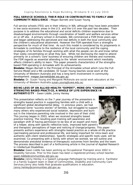#### **FULL SERVICE SCHOOLS: THEIR ROLE IN CONTRIBUTING TO FAMILY AND COMMUNITY RESILIENCE -** *Megan Barnett and Susan Young*

Full service schools (FSS) are in their infancy in WA, although they have been prevalent in low socio-economic areas in the U.S. and the U.K over the past two decades. Their purpose is to address the educational and social deficits children experience due to disadvantaged environments through coordination of health and welfare services either on or off site. A primary school in Armadale, WA commenced a FSM three years ago and began addressing the perceived and real deficits in both the local community and the children's educational attainment. However the FSM operated from a strengths perspective for much of that time. As such this model is considered by its proponents in Armadale to contribute to the resilience of the local community and the coping strategies of its families through working with what the people can do and know rather than solely concentrating on what they lack. While not dismissing the need to attend primarily on a school's 'core' business of ensuring children are literate and numerate, the FSM regards as essential attending to the 'whole' environment which inevitably affects children's ability to learn. This paper presents characteristics of the strengthsbased FSM operating in Armadale with its achievements.

**Biodata:** *Megan Barnett is the Principal of the Armadale school which runs the Full Service Model and a MA candidate. Dr Susan Young teaches social work at the University of Western Australia and has a long term involvement in community development. megan.barnett@det.wa.gov.au*

**Biodata:** *Dr. Susan Young and Margaret McKenzie are social work educators at the University of Western Australia susan.young@uwa.edu.au*

**BEING LESS OF AN ALLIED HEALTH "EXPERT", MORE OFA "CHANGE AGENT": STRENGTHS BASED PRACTICE, A WHOLE OF LIFE EXPERIENCE IN AUTHENTICITY** - *Gwen Liddle, Jenny Henley*

This presentation reflects on the 7 year journey of the presenters in strengths based practice in supporting families with a child with a significant global developmental delay. In previous years, we had witnessed some "success stories" of families, but struggled to support many others who experienced social isolation, depression and burnout in the intensive parenting role involved in the care of their child. This journey began in 2003. when we received strengths based practice training. The resulting post-training self-awareness and paradigm shift of having permission to be less of an expert and more of a helper, along with specific reflective tools, improved both parent's



and therapists' perceptions of hope and noticing of change/progress. This paper presents authors experience with strengths based practice as a whole-of-life practice. (permeating personal and professional life, and being important for intra-team and authentic with-client relationships). Specific strategies and specific tools used, will be examined. Co-presenting with a family with whom we worked, we will outline and demonstrate anecdotal evidence of therapeutic outcomes from families and the team. The process described is part of a forthcoming article in the *Journal of Applied Research in Intellectual Disabilities.*

**Biodata:** *Gwen Liddle has been working as Occupational Therapist since 2002 in Disability Services. Prior to this Gwen has been a registered primary school teacher. gwen.liddle@communities.qld.gov.au*

**Biodata:** *Jenny Henley is a Speech Language Pathologist by training and is Facilitator in a Family Support team in Dept of Communities, Disability and Community Care Services.Jenny also holds Post graduate qualifications in education. Jenny.henley@communities.qld.gov.au*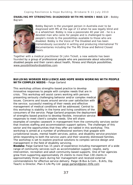**ENABLING MY STRENGTHS: DIAGNOSED WITH MS WHEN I WAS 13!** - *Bobby Bajram*



Bobby Bajram is the youngest person in Australia ever to be diagnosed with MS at the age of 13 when he was legally blind and in a wheelchair. Bobby is now a passionate 40 year old - he is a devoted man who cares for people and is challenged to open people's minds to the possibilities available to those who are disabled. Bobby is the *Voice of The Disabled* and has been tremendously successful in writing and producing international TV documentaries including the *The MS Show* and *Behind Closed Doors*.

*Together with a medical practitioner Dr John Tickell, a new website has been*  founded by a group of professional people who are passionate about educating *disabled people and their carers about health, fitness and lifestyle possibilities. www.possibilitiesfordisabilities.com* 

#### **BUILDING WORKER RESILIENCE AND HOPE WHEN WORKING WITH PEOPLE WITH COMPLEX NEEDS -** *Paige Garland*

This workshop utilises strengths-based practice to develop innovative responses to people with complex needs that are in crisis. This workshop will assist carers working with persons presenting seriously challenging behavior and/or complex medical issues. Concerns and issues around service user satisfaction with the service; successful meeting of their needs and effective management of medical conditions will be addressed. Central to this workshop is stability in the home and living conditions of the consumers of the service. Paige Garland proposes the deployment of strengths-based practice to develop flexible, innovative service responses to meet client's complex needs. She will share



examples of complex casework in management from the community services sector that involves staffing and accommodation support options. The challenges of this sector and the opportunities that they offer are tabled in this workshop. This workshop is aimed at a number of professional workers that grapple with jurisdictional issues, mental health services, police, and disability service provision while responding to both the service users and their severely distressed families. The workshop is set to explore practical solutions to complex service design and management in the field of disability servicing.

**Biodata:** *Paige Garland has 15 years of experience including management of a wide range of community services such as accommodation support, respite, early intervention, recreation and adult community-based supports. One of her agencies grew from supporting approximately 25 clients to more than 130 clients in approximately three years during her management and received external commendations for effective service delivery. Paige (B.Bus & Com., B.Arts, Dip. Teach) is Director, Plan-it Life Pty Ltd paige.garland@plan-itlife.com*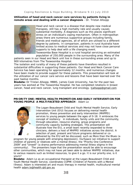**Utilization of head and neck cancer care services by patients living in remote areas and dealing with a cancer diagnosis** *- Dr. Tristan Allsopp*



Head and neck cancer is a disease that despite new medical therapies, still has a high mortality rate and usually causes substantial morbidity. A diagnosis such as this places significant stress on an individual's coping mechanism. Often in metropolitan areas there are numerous supportive groups including family, friends and medical agencies, all of which are utilised to a different degree by patients. In comparison, patients in rural Australia have limited access to medical services and may not have close personal supports to help deal with a life changing event.

Toowoomba Base Hospital is a rural hospital servicing an estimated population of 250,000 people in the surrounding area. Many of the

patients seen in our Head and Neck unit live in these surrounding areas and up to 900 kilometres from The Toowoomba Hospital.

The isolation and rurality of many of these patients have therefore resulted in substantial difficulties in supporting these patients. Our Head and Neck Cancer Care Service has been operating for approximately 12 months, and numerous changes have been made to provide support for these patients. This presentation will look at the utilization of our cancer care service and lessons that have been learned over the past twelve months.

**Biodata:** *Dr Tristan Allsopp, MBBS, James Cook University, has for the past two years has worked at The Toowomba Hospital. He has completed rotations in breast cancer, head and neck cancer, lung transplant and oncology. tjallsopp@gmail.com*

**PRIORITY ONE: MENTAL HEALTH PROMOTION AND EARLY INTERVENTION FOR YOUNG PEOPLE A MULTIFACETED APPROACH** *- Adam Lo*



The Logan-Beaudesert Child and Youth Mental Health Service, Early Intervention Unit (EIU) focuses on delivering mental health promotion, illness prevention and early intervention (MHPPEI) services to young people between the ages of 0-18. It embraces the concept of resiliency in individuals, family units and the community, through education, resource sharing, group programs and community capacity building strategies. This presentation will illustrate how the EIU, a small team recently expanded to three clinicians, delivers a host of MHPPEI initiatives across the district. A selection of past, present and future programs delivered or codelivered by the EIU will be discussed, such as More than the Blues (a

program for young people with emerging depression), OurSpace (an initiative to support children of parents or relatives with a mental illness), the "Priority One Conference 2009" and "Unwell" (a drama performance addressing mental illness stigma in the community). The presenters hope that the presentation would be able to encourage other communities, which may not have yet been able to deliver MHPPEI initiatives, due to various reasons such as limited resources, to give it a go. It is our priority one, is it yours?

**Biodata:** *Adam Lo as an occupational therapist at the Logan-Beaudesert Child and Youth Mental Health Service, coordinates COPMI (Children of Parents with a Mental Illness). Adam is interested art and music therapy in mental health, multicultural mental health adam.lo@health.qld.gov.au*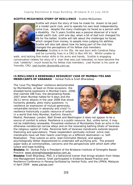#### **SCOTTIE MCGUINESS STORY OF RESILIENCE** - *Scottie McGuiness*



Scottie will share the story of how he made his dream to be part of a model yacht club, and to operate his own boat independently, come true, despite the many challenges he faced as a person with a disability. For 5 years Scottie was a passive observer of a local model yacht club, until one day, when a bit of bad luck changed his life for the better. Scottie will talk about the challenges he faced, which ranged from money, to people miss-judging his abilities. Scottie will also talk about how his being part of the club has changed the perceptions of his fellow club members.

**Biodata:** *Scottie is in his 30s. He was born with Cerebral Palsy and he currently lives in a CRU in Box Hill Vic. Whilst unable to* 

walk, and lacking fine motor skills in his arms and hands, Scottie is engaging *conversation relates his story of a man that was just tolerated, to have become the club "celebrity", much loved by his fellow club members. Joel Hunter is his carer at Yooralla, CRU. joel.hunter.@yooralla.com.au*

**IS RESILIENCE A RENEWABLE RESOURCE? CASE OF MUMBAIITES AND MENDICANTS OF VARANASI** - *Venkat Pulla & Sneh Bharadwaj*

The 'Love Thy Neighbor' resilience demonstrated by Mumbaiites, at least on three occasions- the dreaded bomb explosions in Mumbai trains -2006; that claimed 188 lives, the devastating floods-2007 when Mumbai halted for 6 days and the 26/11 terror attacks in the year 2008 that shook humanity globally, plots many questions- Is resilience an expression of mutual generosity, remarkable heroism in adversity and crisis? Is resilience historically a public resource of solace? In a world that links Mumbai, Kashmir, Karachi,



Madrid, Peshawar, London, Wall Street and Washington it does not appear to be a source of comfort & solace. Resilience is a public resource. But, unlike terror, it may not be indefinitely renewable. Proverbial resilience of Mumbaiites finds an echo in the otherwise nondescript narrow alleys and on the resonating bathing Ghats of Varanasithe religious capital of India. Perennial faith of Varanasi mendicants extends beyond theorizing and speculations. These resplendent spiritually inclined ochre clad mendicants have set their hearts unerringly on a different destination i.e. Self-Realisation. They subsist on alms, lead minimalist lifestyle, and appear

psychologically better dispositioned to undertake self purifying acts. The present paper looks at commonalities, concerns and the perspectives with which both offer solace and hope building.

**Biodata:** *Dr. Venkat Pulla is President of the Brisbane Institute of Strengths Based Practice. www.strengthsbasedpractice.com.au*

**Biodata:** *Sneh Bhardwaj, PhD, is a behavioral trainer that brings wisdom from Vedas into Management Science. Sneh participated in Evidence Based Practice and Resilience Conference in Penang facilitated by Venkat Pulla, and the LPPKN, Malaysia in April 2009 www.yajnaa.com*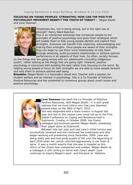**FOCUSING ON YOUNG PEOPLES' STRENGTHS: HOW CAN THE POSITIVE PSYCHOLOGY MOVEMENT BENEFIT THE YOUTH OF TODAY? -** *Megan Booth and Jane Sleeman*



"*Greatness lies, not in being strong, but in the right use of strength*" Henry Ward Beecher.

This is an interactive workshop that introduces people to the principles of positive psychology and gives them strategies which will enable them to help young people identify and explore their strengths. Everyone can benefit from exploring, acknowledging and sharing their strengths. Once people are aware of their strengths they can begin to use them more intentionally to help them through adversity, build successful relationships or achieve optimal performance in all aspects of their lives. So often, society focuses

on the things that are going wrong with our adolescents (including indigenous youth), rather looking at the things that are going right. However, positive psychology is concerned with building the best rather than focusing on the worst. By helping young people to focus on their strengths we are able to move people forward and help them to achieve optimal well being.

**Bioadata:** *Megan Booth is a Secondary Visual Arts Teacher with a passion for student welfare and an interest in psychology. She is a Co-Founder of Hollyhox Positive Resources and has presented to numerous groups about youth issues and positive psychology.* 



**Jane Sleeman** has been the Co-Founder of Hollyhox Positive Resources, with Megan Booth. It is with great sadness that we must inform you that Jane Sleeman passed away on the 30th of April, 2010. She was diagnosed with a brain tumour in August last year and due to this reason Jane could not go to the First Global Conference on Coping and Resilience held in Dubrovnik, Croatia, in October 2009. Her friend, colleague and business partner Megan Booth, presented their paper alone at Dubrovnik.

Between late last year and now Jane's initial tumour was successfully removed and she continued her treatments and also began working and presenting since December, 2009. Jane was doing really well and had great quality of life until the beginning of April 2010 when her cancer returned aggressively in her brain & spine. It was a month exactly that she was in hospital as this return of her illness was unexpected and sudden. Megan Booth as a colleague is still coming to terms with Jane's death. Jane continues to inspire Megan's work and the work at Hollyhox.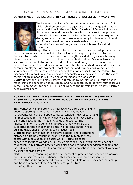**COMBATING CHILD LABOR: STRENGTH BASED STRATEGIES** *- Archana Jetti*



The International Labor Organization estimates that around 218 million children between the ages of 5-17 were engaged in workrelated activities in the year 2004. A variety of factors influence a child's need to work, as such there is no panacea to the problem. In working towards a response to the issue, this paper argues that strategies which harness resources already in place with minimal help from external parties are sustainable in the long run, especially for non-profit organizations which are often short of resources.

A qualitative study of former child workers with in-depth interviews and observations was conducted in two villages of Rangareddy district, Andhra Pradesh, India, which showcased potential strength based strategies which brought about resilience and hope into the life of former child workers. Social networks are seen as the inherent strengths to build resilience and bring hope. Collaborations amongst a range of individuals who are connected to these children's world - such as, parents, employers, government school teachers and former-child-workers-turnedvolunteers, etc. made positive and practical solutions possible for the children to disengage from paid labour and engage in schools. While education is not the exact reverse of child labor, it is surely one of the means to eradicate it.

**Biodata:** *Archana Jetti holds Masters in Intercultural Studies and Education and is researching the concept of social capital and its applicability to poverty related issues in the Global South, for her PhD in Social Work at the University of Sydney, Australia avoola@gmail.com*

**BUT REALLY, WHAT DOES NEUROSCIENCE TOGETHER WITH STRENGTH BASED PRACTICE HAVE TO OFFER TO OUR THINKING ON BUILDING RESILIENCE? -** *Mark Lynch*

This workshop will explore what Neuroscience offers our thinking about supporting individuals in personal 'capacity building'. Participants will have the opportunity to consider new research and its implications for the way in which we understand how people think and react during times of change and stress. The implications for management practices and how workers are supported through challenging times will be considered, whilst utilising traditional Strength Based practice tools.

**Biodata:** Mark Lynch has an extensive national and international history as a trainer/consultant working in the human services sector within education and social work. Mark's practical



experience includes working as a Service Manager, Social Work practitioner and counsellor. In his private practice work Mark has provided supervision to teams and individuals as well as undertaking training and organisational development work with a variety of organisations.

Mark is currently consulting on the development of practice and practice frameworks for human services organisations. In this work he is utilising extensively the research that is being gathered through emerging field of Neuroscience leadership and he is a member of the NeuroLeadership Institute. *mark@lighthouseresources.com.au*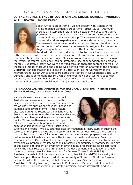**COPING AND RESILIENCE OF SOUTH AFRICAN SOCIAL WORKERS - WORKING WITH TRAUMA -** *Francine Masson*



South Africa is an extremely violent society with violent crime having reached pandemic proportions (Bruce, 2006). Although there is an established relationship between violence and trauma (Bowman, 2007), secondary trauma is often not factored into our understandings of this relationship. This research aimed to explore how social workers experience and cope with secondary trauma. The research project was conducted in two phases; the first phase was in the form of a quantitative research design while the second stage was qualitative in nature. In the first phase seven standardized tools were distributed to 140 social workers who work

with trauma victims. Included in these tools were tests to measure resilience and coping strategies. In the second stage, 20 social workers were interviewed to explore the effects of trauma, resilience, coping strategies, use of supervision and personal therapy. Qualitative interviews were analysed through thematic content analysis. A theoretical model of trauma and coping was derived from an analysis of the findings. **Biodata:** *Francine Masson is a lecturer in Social Work at the University of the Witwatersrand, South Africa and coordinates the Masters in Occupational Social Work. Currently she is completing her PHD which explores how social workers cope with secondary trauma. She has fifteen years experience in working in the fields of trauma and occupational social work. fran.j.masson@gmail.com*

**PSYCHOLOGICAL PREPAREDNESS FOR NATURAL DISASTERS -** *Hannah Zulch, Shirley Morrissey, Joseph Reser and Peter Creed*

Natural disasters are common recurrences in Australia and elsewhere in the world, with developing countries suffering in recent years from major disasters such as earthquakes, floods and tsunamis and severe storms. These natural disasters during the recent past highlight what is likely to be the norm over the next several decades, with climate change and its consequences a stark reality. Those weather-related events of particular relevance to community preparedness and adaptation initiatives in Northern Australia are



cyclones and floods. While substantial disaster mitigation infrastructure, including the services of multiple agencies and professionals in times of need, exists, there remains much to be done to more fully understand and achieve disaster preparedness and resilience in individuals and communities for recurrent natural disasters. Previous research in North Queensland has provided promising findings with respect to the use of psychological preparedness interventions in fostering community preparedness. The aim of this paper is to present an overview of psychological preparedness for disaster and review the initial results of the first stage of the development and validation of a new scale i.e., the Psychological Preparedness for Disaster Threat Scale (PPDTS) **Biodata:** *Hannah R. Zulch currently is completing her MPhil at Griffith University Gold Coast campus. Hannah has worked at the University of Sussex (UK), at the Disaster Research Unit of the University of Kiel (Germany). h.zulch@griffith.edu.au* **Biodata:** *Dr.Shirley Morrissey is Associate Professor and Deputy Head of School of Psychology, (Gold Coast campus), Griffith University. s.morrissey@griffith.edu.au*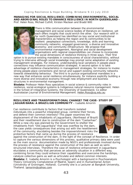**MANAGING FOR SOCIAL RESILIENCE: COMBINING ENVIRONMENTAL, SOCIAL AND ABORIGINAL ROLES TO ENHANCE RESILIENCE IN NORTH QUEENSLAND -** *Prof. Helen Ross, Michael Cuthill, Kirsten Maclean and Bradd Witt*



There is little communication between the environmental management and social science bodies of literature on resilience, yet each offers insights that could enrich the other. Our research with in far north Queensland has identified six key social and institutional characteristics as helping the region and its communities to be resilient: peopleplace connections, knowledge, skills and learning; community networks; engaged governance; a diverse and innovative economy; and community infrastructure. We propose that environmental management, Aboriginal and social development organisations with regional responsibilities can choose to incorporate the social dimensions of resilience thinking in three ways. Their first

option is to pursue existing mandates in consciousness of social characteristics, without trying to intervene although social knowledge may prompt some adaptation of existing management strategies. For instance, understanding local variations in people-place connections may influence communication strategies. A second option is to take advantage of resilience characteristics in management strategies, for instance to invoke strong people-place connections and recruit and support existing community networks towards stewardship behaviour. The third is to pursue organisational mandates in a new way that enhances social resilience simultaneously, for instance explicitly building a more diverse and innovative economy through new employment and business structures in environmental management.

**Biodata:** *Professor Helen Ross specializes in social science & community roles in resilience, social-ecological systems & Indigenous natural resource management. Helen in the School of Integrative Systems, the University of Queensland, Co editor Australasian Journal of Environmental Management. Helen.Ross@uq.edu.au*

#### **RESILIENCE AND TRANSFORMATIONAL CHANGE? THE CASE- STUDY OF JAGUARIBARA: A BRAZILIAN COMMUNITY -** *Isabelle Amorim*

Can resilience contribute to factors that transform isolated individuals into a powerful integrated group, combine their forces, and defend their common interests? This paper examines the displacement of the inhabitants of Jaguaribara, (Northeast of Brazil) and their resettlement due to construction of the dam "Castanhao". While a new city was planned by the Government to shelter the inhabitants from "Old Jaguaribara" that was overflow by the dam, the case yields consequences that arising out with the resettlement of the community, elucidating besides the impoverishment risks the protective factors that came up during the process of resistance



against the construction of the dam, in the light of the concept of Resilience. In order to capture the various dimensions of this process, qualitative primary data were used as the main source: documentation made by NGO's and professionals involved during the process of resistance against the construction of the dam as well as semistructured interviews. Therefore the case of resilience enhancement in Jaguaribara elucidates a community that perceives an adversity situation in a different way, combining forces they could enhance their capabilities and overcome the hardships, catalyze collective gains as well as articulate and defend common interests.

**Biodata:** *E. Isabelle Amorim is a Psychologist with a background in Psychoanalysis Theory (University Complutense of Madrid, Spain) and in Humanitarian Action (University of Groningen, Holland). Currently she is a Lecturer at Bangkok University, Thailand. iamorim@yahoo.com*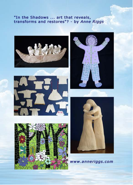## "In the Shadows ... art that reveals,<br>transforms and restores"? - by Anne Riggs











www.anneriggs.com